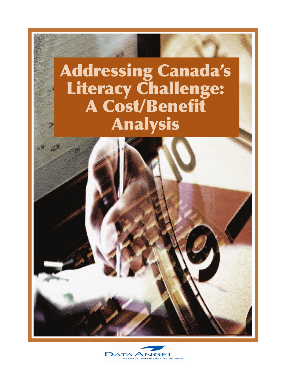

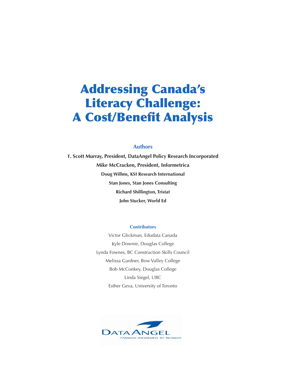### **Authors**

**T. Scott Murray, President, DataAngel Policy Research Incorporated Mike McCracken, President, Informetrica Doug Willms, KSI Research International Stan Jones, Stan Jones Consulting Richard Shillington, Tristat John Stucker, World Ed**

#### **Contributors**

Victor Glickman, Edudata Canada Kyle Downie, Douglas College Lynda Fownes, BC Construction Skills Council Melissa Gardner, Bow Valley College Bob McConkey, Douglas College Linda Siegel, UBC Esther Geva, University of Toronto

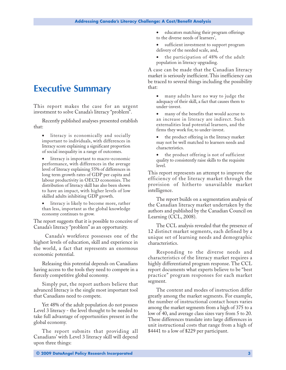# <span id="page-4-0"></span>**Executive Summary**

This report makes the case for an urgent investment to solve Canada's literacy "problem".

Recently published analyses presented establish that:

- literacy is economically and socially important to individuals, with differences in literacy score explaining a significant proportion of social inequality in a range of outcomes.
- literacy is important to macro-economic performance, with differences in the average level of literacy explaining 55% of differences in long term growth rates of GDP per capita and labour productivity in OECD economies. The distribution of literacy skill has also been shown to have an impact, with higher levels of low skilled adults inhibiting GDP growth.
- literacy is likely to become more, rather than less, important as the global knowledge economy continues to grow.

The report suggests that it is possible to conceive of Canada's literacy "problem" as an opportunity.

Canada's workforce possesses one of the highest levels of education, skill and experience in the world, a fact that represents an enormous economic potential.

Releasing this potential depends on Canadians having access to the tools they need to compete in a fiercely competitive global economy.

Simply put, the report authors believe that advanced literacy is the single most important tool that Canadians need to compete.

Yet 48% of the adult population do not possess Level 3 literacy - the level thought to be needed to take full advantage of opportunities present in the global economy.

The report submits that providing all Canadians' with Level 3 literacy skill will depend upon three things:

- educators matching their program offerings to the diverse needs of learners',
- sufficient investment to support program delivery of the needed scale, and,
- the participation of 48% of the adult population in literacy upgrading.

A case can be made that the Canadian literacy market is seriously inefficient. This inefficiency can be traced to several things including the possibility that:

- many adults have no way to judge the adequacy of their skill, a fact that causes them to under-invest.
- many of the benefits that would accrue to an increase in literacy are indirect. Such externalities lead potential learners, and the firms they work for, to under-invest.
- the product offering in the literacy market may not be well matched to learners needs and characteristics.
- the product offering is not of sufficient quality to consistently raise skills to the requisite level.

This report represents an attempt to improve the efficiency of the literacy market through the provision of hitherto unavailable market intelligence.

The report builds on a segmentation analysis of the Canadian literacy market undertaken by the authors and published by the Canadian Council on Learning (CCL, 2008).

The CCL analysis revealed that the presence of 12 distinct market segments, each defined by a unique set of learning needs and demographic characteristics.

Responding to the diverse needs and characteristics of the literacy market requires a highly differentiated program response. The CCL report documents what experts believe to be "best practice" program responses for each market segment.

The content and modes of instruction differ greatly among the market segments. For example, the number of instructional contact hours varies among the market segments from a high of 375 to a low of 40, and average class sizes vary from 5 to 20. These differences translate into large differences in unit instructional costs that range from a high of \$4441 to a low of \$229 per participant.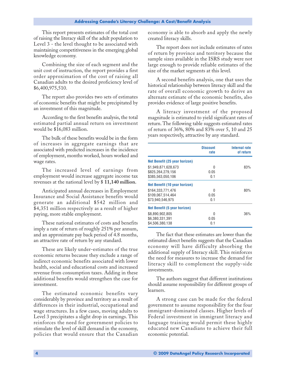This report presents estimates of the total cost of raising the literacy skill of the adult population to Level 3 - the level thought to be associated with maintaining competitiveness in the emerging global knowledge economy.

Combining the size of each segment and the unit cost of instruction, the report provides a first order approximation of the cost of raising all Canadian adults to the desired proficiency level of \$6,400,975,510.

The report also provides two sets of estimates of economic benefits that might be precipitated by an investment of this magnitude.

According to the first benefits analysis, the total estimated partial annual return on investment would be \$16,083 million.

The bulk of these benefits would be in the form of increases in aggregate earnings that are associated with predicted increases in the incidence of employment, months worked, hours worked and wage rates.

The increased level of earnings from employment would increase aggregate income tax revenues at the national level by \$ **11,140 million.**

Anticipated annual decreases in Employment Insurance and Social Assistance benefits would generate an additional \$542 million and \$4,351 million respectively as a result of higher paying, more stable employment.

These national estimates of costs and benefits imply a rate of return of roughly 251% per annum, and an approximate pay back period of 4.8 months, an attractive rate of return by any standard.

These are likely under-estimates of the true economic returns because they exclude a range of indirect economic benefits associated with lower health, social and educational costs and increased revenue from consumption taxes. Adding in these additional benefits would strengthen the case for investment.

The estimated economic benefits vary considerably by province and territory as a result of differences in their industrial, occupational and wage structures. In a few cases, moving adults to Level 3 precipitates a slight drop in earnings. This reinforces the need for government policies to stimulate the level of skill demand in the economy, policies that would ensure that the Canadian

economy is able to absorb and apply the newly created literacy skills.

The report does not include estimates of rates of return by province and territory because the sample sizes available in the ISRS study were not large enough to provide reliable estimates of the size of the market segments at this level.

A second benefits analysis, one that uses the historical relationship between literacy skill and the rate of overall economic growth to derive an alternate estimate of the economic benefits, also provides evidence of large positive benefits.

A literacy investment of the proposed magnitude is estimated to yield significant rates of return. The following table suggests estimated rates of return of 36%, 80% and 83% over 5, 10 and 25 years respectively, attractive by any standard.

|                                     | <b>Discount</b><br>rate | Internal rate<br>of return |
|-------------------------------------|-------------------------|----------------------------|
| Net Benefit (25 year horizon)       |                         |                            |
| \$1.949.871.628.673                 | N                       | 83%                        |
| \$825,264,279,156                   | 0.05                    |                            |
| \$385.563.050.106                   | 0.1                     |                            |
| Net Benefit (10 year horizon)       |                         |                            |
| \$164.333.771.476                   | N                       | 80%                        |
| \$109.067.514.464                   | 0.05                    |                            |
| \$73.940.546.975                    | 0.1                     |                            |
| <b>Net Benefit (5 year horizon)</b> |                         |                            |
| \$8,890,902,805                     | N                       | 36%                        |
| \$6.380.331.391                     | 0.05                    |                            |
| \$4.506.380.138                     | 0.1                     |                            |

The fact that these estimates are lower than the estimated direct benefits suggests that the Canadian economy will have difficulty absorbing the additional supply of literacy skill. This reinforces the need for measures to increase the demand for literacy skill to complement the supply-side investments.

The authors suggest that different institutions should assume responsibility for different groups of learners.

A strong case can be made for the federal government to assume responsibility for the four immigrant-dominated classes. Higher levels of Federal investment in immigrant literacy and language training would permit these highly educated new Canadians to achieve their full economic potential.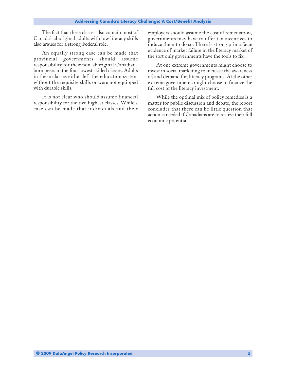The fact that these classes also contain most of Canada's aboriginal adults with low literacy skills also argues for a strong Federal role.

An equally strong case can be made that provincial governments should assume responsibility for their non-aboriginal Canadianborn peers in the four lowest skilled classes. Adults in these classes either left the education system without the requisite skills or were not equipped with durable skills.

It is not clear who should assume financial responsibility for the two highest classes. While a case can be made that individuals and their employers should assume the cost of remediation, governments may have to offer tax incentives to induce them to do so. There is strong prima facie evidence of market failure in the literacy market of the sort only governments have the tools to fix.

At one extreme governments might choose to invest in social marketing to increase the awareness of, and demand for, literacy programs. At the other extreme governments might choose to finance the full cost of the literacy investment.

While the optimal mix of policy remedies is a matter for public discussion and debate, the report concludes that there can be little question that action is needed if Canadians are to realize their full economic potential.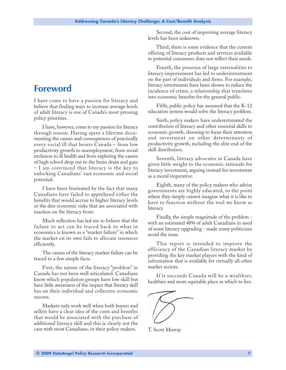# <span id="page-8-0"></span>**Foreword**

I have come to have a passion for literacy and believe that finding ways to increase average levels of adult literacy is one of Canada's most pressing policy priorities.

I have, however, come to my passion for literacy through reason. Having spent a lifetime documenting the causes and consequences of practically every social ill that besets Canada – from low productivity growth to unemployment, from social exclusion to ill health and from exploring the causes of high school drop out to the brain drain and gain – I am convinced that literacy is the key to unlocking Canadians' vast economic and social potential.

I have been frustrated by the fact that many Canadians have failed to apprehend either the benefits that would accrue to higher literacy levels or the dire economic risks that are associated with inaction on the literacy front.

Much reflection has led me to believe that the failure to act can be traced back to what in economics is known as a "market failure" in which the market on its own fails to allocate resources efficiently.

The causes of the literacy market failure can be traced to a few simple facts.

First, the nature of the literacy "problem" in Canada has not been well articulated. Canadians know which population groups have low skill but have little awareness of the impact that literacy skill has on their individual and collective economic success.

Markets only work well when both buyers and sellers have a clear idea of the costs and benefits that would be associated with the purchase of additional literacy skill and this is clearly not the case with most Canadians, or their policy makers.

Second, the cost of improving average literacy levels has been unknown.

Third, there is some evidence that the current offering of literacy products and services available to potential consumers does not reflect their needs.

Fourth, the presence of large externalities to literacy improvement has led to underinvestment on the part of individuals and firms. For example, literacy investments have been shown to reduce the incidence of crime, a relationship that translates into economic benefits for the general public.

Fifth, public policy has assumed that the K-12 education system would solve the literacy problem.

Sixth, policy makers have underestimated the contribution of literacy and other essential skills to economic growth, choosing to focus their attention and investment on other determinants of productivity growth, including the elite end of the skill distribution.

Seventh, literacy advocates in Canada have given little weight to the economic rationale for literacy investment, arguing instead for investment as a moral imperative.

Eighth, many of the policy makers who advise governments are highly educated, to the point where they simply cannot imagine what it is like to have to function without the tool we know as literacy.

Finally, the simple magnitude of the problem with an estimated 48% of adult Canadians in need of some literacy upgrading - made many politicians avoid the issue.

This report is intended to improve the efficiency of the Canadian literacy market by providing the key market players with the kind of information that is available for virtually all other market sectors.

If it succeeds Canada will be a wealthier, healthier and more equitable place in which to live.

T. Scott Murray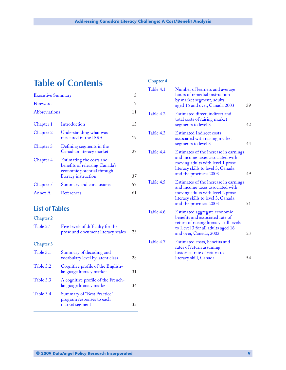# **Table of Contents**

| <b>Executive Summary</b>                                                                                                             |    |
|--------------------------------------------------------------------------------------------------------------------------------------|----|
| Foreword                                                                                                                             | 7  |
| Abbreviations                                                                                                                        | 11 |
| Introduction<br>Chapter 1                                                                                                            | 13 |
| Understanding what was<br>Chapter 2<br>measured in the ISRS                                                                          | 19 |
| Chapter 3<br>Defining segments in the<br>Canadian literacy market                                                                    | 27 |
| <b>Chapter 4</b><br>Estimating the costs and<br>benefits of releasing Canada's<br>economic potential through<br>literacy instruction | 37 |
| Chapter 5<br>Summary and conclusions                                                                                                 | 57 |
| Annex A<br>References                                                                                                                | 61 |

### **List of Tables**

### **Chapter 2**

| Table 2.1 | Five levels of difficulty for the  |    |
|-----------|------------------------------------|----|
|           | prose and document literacy scales | 23 |

### **Chapter 3**

| Table 3.1 | Summary of decoding and<br>vocabulary level by latent class                      | 28 |
|-----------|----------------------------------------------------------------------------------|----|
| Table 3.2 | Cognitive profile of the English-<br>language literacy market                    | 31 |
| Table 3.3 | A cognitive profile of the French-<br>language literacy market                   | 34 |
| Table 3.4 | <b>Summary of "Best Practice"</b><br>program responses to each<br>market segment | 35 |
|           |                                                                                  |    |

### **Chapter 4**

| Table 4.1 | Number of learners and average<br>hours of remedial instruction<br>by market segment, adults<br>aged 16 and over, Canada 2003                                                 | 39 |
|-----------|-------------------------------------------------------------------------------------------------------------------------------------------------------------------------------|----|
| Table 4.2 | Estimated direct, indirect and<br>total costs of raising market<br>segments to level 3                                                                                        | 42 |
| Table 4.3 | <b>Estimated Indirect costs</b><br>associated with raising market<br>segments to level 3                                                                                      | 44 |
| Table 4.4 | Estimates of the increase in earnings<br>and income taxes associated with<br>moving adults with level 1 prose<br>literacy skills to level 3, Canada<br>and the provinces 2003 | 49 |
| Table 4.5 | Estimates of the increase in earnings<br>and income taxes associated with<br>moving adults with level 2 prose<br>literacy skills to level 3, Canada<br>and the provinces 2003 | 51 |
| Table 4.6 | Estimated aggregate economic<br>benefits and associated rate of<br>return of raising literacy skill levels<br>to Level 3 for all adults aged 16<br>and over, Canada, 2003     | 53 |
| Table 4.7 | Estimated costs, benefits and<br>rates of return assuming<br>historical rate of return to<br>literacy skill, Canada                                                           | 54 |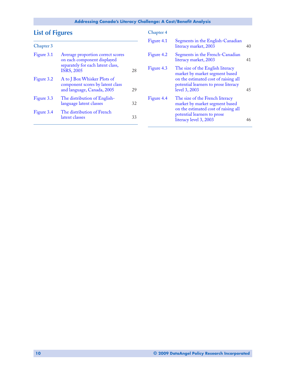# **List of Figures**

### **Chapter 3**

| Figure 3.1<br>Average proportion correct scores<br>on each component displayed<br>separately for each latent class,<br><b>ISRS, 2005</b><br>28<br>Figure 3.2<br>A to J Box Whisker Plots of<br>component scores by latent class<br>and language, Canada, 2005<br>29<br>Figure 3.3<br>The distribution of English-<br>language latent classes<br>32<br>The distribution of French<br>Figure 3.4<br>latent classes<br>33 |  |  |
|------------------------------------------------------------------------------------------------------------------------------------------------------------------------------------------------------------------------------------------------------------------------------------------------------------------------------------------------------------------------------------------------------------------------|--|--|
|                                                                                                                                                                                                                                                                                                                                                                                                                        |  |  |
|                                                                                                                                                                                                                                                                                                                                                                                                                        |  |  |
|                                                                                                                                                                                                                                                                                                                                                                                                                        |  |  |
|                                                                                                                                                                                                                                                                                                                                                                                                                        |  |  |

### **Chapter 4**

| Segments in the English-Canadian<br>40                                                                                                                   |
|----------------------------------------------------------------------------------------------------------------------------------------------------------|
| Segments in the French-Canadian<br>41                                                                                                                    |
| The size of the English literacy<br>market by market segment based<br>on the estimated cost of raising all<br>potential learners to prose literacy<br>45 |
| The size of the French literacy<br>market by market segment based<br>on the estimated cost of raising all<br>potential learners to prose                 |
|                                                                                                                                                          |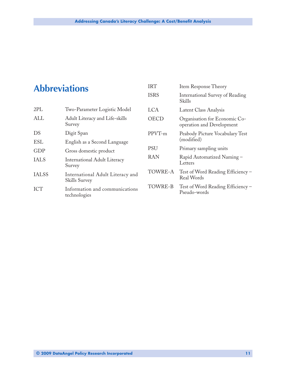# <span id="page-12-0"></span>**Abbreviations**

| 2PL          | Two-Parameter Logistic Model                      |
|--------------|---------------------------------------------------|
| ALL          | Adult Literacy and Life-skills<br>Survey          |
| DS           | Digit Span                                        |
| <b>ESL</b>   | English as a Second Language                      |
| <b>GDP</b>   | Gross domestic product                            |
| <b>IALS</b>  | <b>International Adult Literacy</b><br>Survey     |
| <b>IALSS</b> | International Adult Literacy and<br>Skills Survey |
| <b>ICT</b>   | Information and communications<br>technologies    |

| <b>IRT</b>  | Item Response Theory                                       |
|-------------|------------------------------------------------------------|
| <b>ISRS</b> | <b>International Survey of Reading</b><br>Skills           |
| LCA         | Latent Class Analysis                                      |
| OECD        | Organisation for Economic Co-<br>operation and Development |
| PPVT-m      | Peabody Picture Vocabulary Test<br>(modified)              |
| <b>PSU</b>  | Primary sampling units                                     |
| RAN         | Rapid Automatized Naming -<br>Letters                      |
| TOWRE-A     | Test of Word Reading Efficiency -<br>Real Words            |
| TOWRE-B     | Test of Word Reading Efficiency –<br>Pseudo-words          |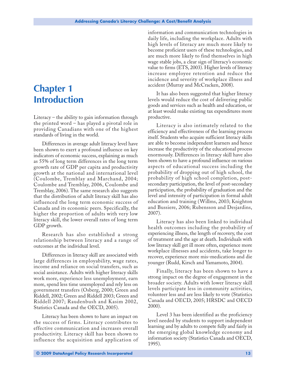# <span id="page-14-0"></span>**Chapter 1 Introduction**

Literacy – the ability to gain information through the printed word – has played a pivotal role in providing Canadians with one of the highest standards of living in the world.

Differences in average adult literacy level have been shown to exert a profound influence on key indicators of economic success, explaining as much as 55% of long term differences in the long term growth rate of GDP per capita and productivity growth at the national and international level (Coulombe, Tremblay and Marchand, 2004; Coulombe and Tremblay, 2006, Coulombe and Tremblay, 2006). The same research also suggests that the distribution of adult literacy skill has also influenced the long term economic success of Canada and its economic peers. Specifically, the higher the proportion of adults with very low literacy skill, the lower overall rates of long term GDP growth.

Research has also established a strong relationship between literacy and a range of outcomes at the individual level.

Differences in literacy skill are associated with large differences in employability, wage rates, income and reliance on social transfers, such as social assistance. Adults with higher literacy skills work more, experience less unemployment, earn more, spend less time unemployed and rely less on government transfers (Osberg, 2000; Green and Riddell, 2002; Green and Riddell 2003; Green and Riddell 2007; Raudenbush and Kasim 2002, Statistics Canada and the OECD, 2005).

Literacy has been shown to have an impact on the success of firms. Literacy contributes to effective communication and increases overall productivity. Literacy skill has been shown to influence the acquisition and application of information and communication technologies in daily life, including the workplace. Adults with high levels of literacy are much more likely to become proficient users of these technologies, and are much more likely to find themselves in high wage stable jobs, a clear sign of literacy's economic value to firms (ETS, 2003). Higher levels of literacy increase employee retention and reduce the incidence and severity of workplace illness and accident (Murray and McCracken, 2008).

It has also been suggested that higher literacy levels would reduce the cost of delivering public goods and services such as health and education, or at least would make existing tax expenditures more productive.

Literacy is also intimately related to the efficiency and effectiveness of the learning process itself. Students who acquire sufficient literacy skills are able to become independent learners and hence increase the productivity of the educational process enormously. Differences in literacy skill have also been shown to have a profound influence on various aspects of educational success including the probability of dropping out of high school, the probability of high school completion, postsecondary participation, the level of post-secondary participation, the probability of graduation and the level and intensity of participation in formal adult education and training (Willms, 2003; Knighton and Bussiere, 2006; Rubensson and Desjardins, 2007).

Literacy has also been linked to individual health outcomes including the probability of experiencing illness, the length of recovery, the cost of treatment and the age at death. Individuals with low literacy skill get ill more often, experience more workplace illnesses and accidents, take longer to recover, experience more mis-medications and die younger (Rudd, Kirsch and Yamamoto, 2004).

Finally, literacy has been shown to have a strong impact on the degree of engagement in the broader society. Adults with lower literacy skill levels participate less in community activities, volunteer less and are less likely to vote (Statistics Canada and OECD, 2005; HRSDC and OECD 2000).

Level 3 has been identified as the proficiency level needed by students to support independent learning and by adults to compete fully and fairly in the emerging global knowledge economy and information society (Statistics Canada and OECD, 1995).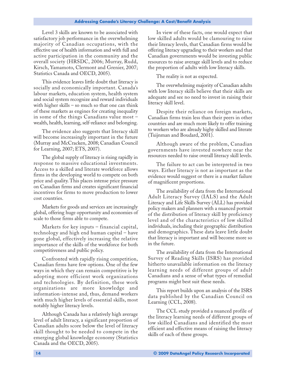Level 3 skills are known to be associated with satisfactory job performance in the overwhelming majority of Canadian occupations, with the effective use of health information and with full and active participation in the community and the overall society (HRSDC, 2006; Murray, Rudd, Kirsch, Yamamoto, Clermont and Grenier, 2007; Statistics Canada and OECD, 2005).

This evidence leaves little doubt that literacy is socially and economically important. Canada's labour markets, education system, health system and social system recognize and reward individuals with higher skills – so much so that one can think of these markets as engines for creating inequality in some of the things Canadians value most – wealth, health, learning, self-reliance and belonging.

The evidence also suggests that literacy skill will become increasingly important in the future (Murray and McCracken, 2008; Canadian Council for Learning, 2007; ETS, 2007).

The global supply of literacy is rising rapidly in response to massive educational investments. Access to a skilled and literate workforce allows firms in the developing world to compete on both price and quality. This places intense price pressure on Canadian firms and creates significant financial incentives for firms to move production to lower cost countries.

Markets for goods and services are increasingly global, offering huge opportunity and economies of scale to those firms able to compete.

Markets for key inputs – financial capital, technology and high end human capital – have gone global, effectively increasing the relative importance of the skills of the workforce for both competitiveness and public policy.

Confronted with rapidly rising competition, Canadian firms have few options. One of the few ways in which they can remain competitive is by adopting more efficient work organizations and technologies. By definition, these work organizations are more knowledge and information-intense and, thus, demand workers with much higher levels of essential skills, most notably higher literacy levels.

Although Canada has a relatively high average level of adult literacy, a significant proportion of Canadian adults score below the level of literacy skill thought to be needed to compete in the emerging global knowledge economy (Statistics Canada and the OECD, 2005).

In view of these facts, one would expect that low skilled adults would be clamouring to raise their literacy levels, that Canadian firms would be offering literacy upgrading to their workers and that Canadian governments would be investing public resources to raise average skill levels and to reduce the proportion of adults with low literacy skills.

The reality is not as expected.

The overwhelming majority of Canadian adults with low literacy skills believe that their skills are adequate and see no need to invest in raising their literacy skill level.

Despite their reliance on foreign markets, Canadian firms train less than their peers in other countries and are much more likely to offer training to workers who are already highy skilled and literate (Tuijnman and Boudard, 2001).

Although aware of the problem, Canadian governments have invested nowhere near the resources needed to raise overall literacy skill levels.

The failure to act can be interpreted in two ways. Either literacy is not as important as the evidence would suggest or there is a market failure of magnificent proportions.

The availability of data from the International Adult Literacy Survey (IALS) and the Adult Literacy and Life Skills Survey (ALL) has provided policy makers and planners with a nuanced portrait of the distribution of literacy skill by proficiency level and of the characteristics of low skilled individuals, including their geographic distribution and demographics. These data leave little doubt that literacy is important and will become more so in the future.

The availability of data from the International Survey of Reading Skills (ISRS) has provided hitherto unavailable information on the literacy learning needs of different groups of adult Canadians and a sense of what types of remedial programs might best suit these needs.

This report builds upon an analysis of the ISRS data published by the Canadian Council on Learning (CCL, 2008).

The CCL study provided a nuanced profile of the literacy learning needs of different groups of low skilled Canadians and identified the most efficient and effective means of raising the literacy skills of each of these groups.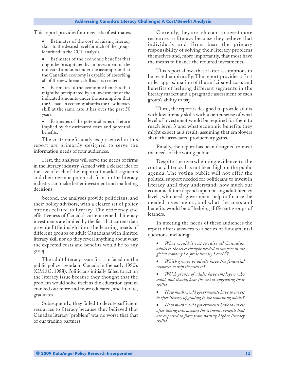This report provides four new sets of estimates:

• Estimates of the cost of raising literacy skills to the desired level for each of the groups identified in the CCL analysis.

- Estimates of the economic benefits that might be precipitated by an investment of the indicated amounts under the assumption that the Canadian economy is capable of absorbing all of the new literacy skill as it is created.
- Estimates of the economic benefits that might be precipitated by an investment of the indicated amounts under the assumption that the Canadian economy absorbs the new literacy skill at the same rate it has over the past 50 years.
- Estimates of the potential rates of return implied by the estimated costs and potential benefits.

The cost/benefit analyses presented in this report are primarily designed to serve the information needs of four audiences.

First, the analyses will serve the needs of firms in the literacy industry. Armed with a clearer idea of the size of each of the important market segments and their revenue potential, firms in the literacy industry can make better investment and marketing decisions.

Second, the analyses provide politicians, and their policy advisors, with a clearer set of policy options related to literacy. The efficiency and effectiveness of Canada's current remedial literacy investments are limited by the fact that current data provide little insight into the learning needs of different groups of adult Canadians with limited literacy skill nor do they reveal anything about what the expected costs and benefits would be to any group.

The adult literacy issue first surfaced on the public policy agenda in Canada in the early 1980's (CMEC, 1988). Politicians initially failed to act on the literacy issue because they thought that the problem would solve itself as the education system cranked out more and more educated, and literate, graduates.

Subsequently, they failed to devote sufficient resources to literacy because they believed that Canada's literacy "problem" was no worse that that of our trading partners.

Currently, they are reluctant to invest more resources in literacy because they believe that individuals and firms bear the primary responsibility of solving their literacy problems themselves and, more importantly, that most have the means to finance the required investments.

This report allows these latter assumptions to be tested empirically. The report provides a first order approximation of the anticipated costs and benefits of helping different segments in the literacy market and a pragmatic assessment of each group's ability to pay.

Third, the report is designed to provide adults with low literacy skills with a better sense of what level of investment would be required for them to reach level 3 and what economic benefits they might expect as a result, assuming that employers share the associated productivity gains.

Finally, the report has been designed to meet the needs of the voting public.

Despite the overwhelming evidence to the contrary, literacy has not been high on the public agenda. The voting public will not offer the political support needed for politicians to invest in literacy until they understand: how much our economic future depends upon raising adult literacy levels; who needs government help to finance the needed investments; and what the costs and benefits would be of helping different groups of learners.

In meeting the needs of these audiences the report offers answers to a series of fundamental questions, including:

• *What would it cost to raise all Canadian adults to the level thought needed to compete in the global economy i.e. prose literacy Level 3?*

- *Which groups of adults have the financial resources to help themselves?*
- *Which groups of adults have employers who could, and should, bear the cost of upgrading their skills?*
- *How much would governments have to invest to offer literacy upgrading to the remaining adults?*
- *How much would governments have to invest after taking into account the economic benefits that are expected to flow from having higher literacy skills?*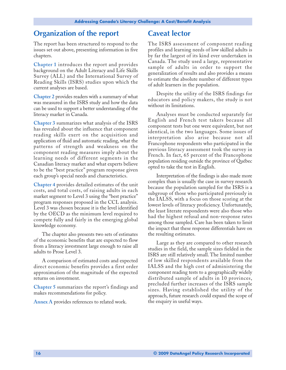## **Organization of the report**

The report has been structured to respond to the issues set out above, presenting information in five chapters.

**Chapter 1** introduces the report and provides background on the Adult Literacy and Life Skills Survey (ALL) and the International Survey of Reading Skills (ISRS) studies upon which the current analyses are based.

**Chapter 2** provides readers with a summary of what was measured in the ISRS study and how the data can be used to support a better understanding of the literacy market in Canada.

**Chapter 3** summarizes what analysis of the ISRS has revealed about the influence that component reading skills exert on the acquisition and application of fluid and automatic reading, what the patterns of strength and weakness on the component reading measures imply about the learning needs of different segments in the Canadian literacy market and what experts believe to be the "best practice" program response given each group's special needs and characteristics.

**Chapter 4** provides detailed estimates of the unit costs, and total costs, of raising adults in each market segment to Level 3 using the "best practice" program responses proposed in the CCL analysis. Level 3 was chosen because it is the level identified by the OECD as the minimum level required to compete fully and fairly in the emerging global knowledge economy.

The chapter also presents two sets of estimates of the economic benefits that are expected to flow from a literacy investment large enough to raise all adults to Prose Level 3.

A comparison of estimated costs and expected direct economic benefits provides a first order approximation of the magnitude of the expected returns on investment.

**Chapter 5** summarizes the report's findings and makes recommendations for policy.

**Annex A** provides references to related work.

### **Caveat lector**

The ISRS assessment of component reading profiles and learning needs of low skilled adults is by far the largest of its kind ever undertaken in Canada. The study used a large, representative sample of adults in order to support the generalization of results and also provides a means to estimate the absolute number of different types of adult learners in the population.

Despite the utility of the ISRS findings for educators and policy makers, the study is not without its limitations.

Analyses must be conducted separately for English and French test takers because all component tests but one were equivalent, but not identical, in the two languages. Some issues of interpretation also arise because not all Francophone respondents who participated in the previous literacy assessment took the survey in French. In fact, 65 percent of the Francophone population residing outside the province of Québec opted to take the test in English.

Interpretation of the findings is also made more complex than is usually the case in survey research because the population sampled for the ISRS is a subgroup of those who participated previously in the IALSS, with a focus on those scoring at the lowest levels of literacy proficiency. Unfortunately, the least literate respondents were also those who had the highest refusal and non-response rates among those sampled. Care has been taken to limit the impact that these response differentials have on the resulting estimates.

Large as they are compared to other research studies in the field, the sample sizes fielded in the ISRS are still relatively small. The limited number of low skilled respondents available from the IALSS and the high cost of administering the component reading tests to a geographically widely distributed sample of adults in 10 provinces, precluded further increases of the ISRS sample sizes. Having established the utility of the approach, future research could expand the scope of the enquiry in useful ways.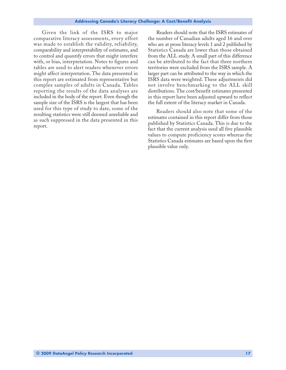Given the link of the ISRS to major comparative literacy assessments, every effort was made to establish the validity, reliability, comparability and interpretability of estimates, and to control and quantify errors that might interfere with, or bias, interpretation. Notes to figures and tables are used to alert readers whenever errors might affect interpretation. The data presented in this report are estimated from representative but complex samples of adults in Canada. Tables reporting the results of the data analyses are included in the body of the report. Even though the sample size of the ISRS is the largest that has been used for this type of study to date, some of the resulting statistics were still deemed unreliable and as such suppressed in the data presented in this report.

Readers should note that the ISRS estimates of the number of Canadian adults aged 16 and over who are at prose literacy levels 1 and 2 published by Statistics Canada are lower than those obtained from the ALL study. A small part of this difference can be attributed to the fact that three northern territories were excluded from the ISRS sample. A larger part can be attributed to the way in which the ISRS data were weighted. These adjustments did not involve benchmarking to the ALL skill distributions. The cost/benefit estimates presented in this report have been adjusted upward to reflect the full extent of the literacy market in Canada.

Readers should also note that some of the estimates contained in this report differ from those published by Statistics Canada. This is due to the fact that the current analysis used all five plausible values to compute proficiency scores whereas the Statistics Canada estimates are based upon the first plausible value only.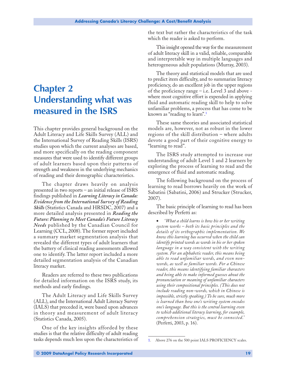# <span id="page-20-0"></span>**Chapter 2 Understanding what was measured in the ISRS**

This chapter provides general background on the Adult Literacy and Life Skills Survey (ALL) and the International Survey of Reading Skills (ISRS) studies upon which the current analyses are based, and more specifically on the reading component measures that were used to identify different groups of adult learners based upon their patterns of strength and weakness in the underlying mechanics of reading and their demographic characteristics.

The chapter draws heavily on analysis presented in two reports – an initial release of ISRS findings published in *Learning Literacy in Canada: Evidence from the International Survey of Reading Skills* (Statistics Canada and HRSDC, 2007) and a more detailed analysis presented in *Reading the Future: Planning to Meet Canada's Future Literacy Needs* published by the Canadian Council for Learning (CCL, 2008). The former report included a summary market segmentation analysis that revealed the different types of adult learners that the battery of clinical reading assessments allowed one to identify. The latter report included a more detailed segmentation analysis of the Canadian literacy market.

Readers are referred to these two publications for detailed information on the ISRS study, its methods and early findings.

The Adult Literacy and Life Skills Survey (ALL), and the International Adult Literacy Survey (IALS) that preceded it, were based upon advances in theory and measurement of adult literacy (Statistics Canada, 2005).

One of the key insights afforded by these studies is that the relative difficulty of adult reading tasks depends much less upon the characteristics of the text but rather the characteristics of the task which the reader is asked to perform.

This insight opened the way for the measurement of adult literacy skill in a valid, reliable, comparable and interpretable way in multiple languages and heterogeneous adult populations (Murray, 2003).

The theory and statistical models that are used to predict item difficulty, and to summarize literacy proficiency, do an excellent job in the upper regions of the proficiency range – i.e. Level 3 and above where most cognitive effort is expended in applying fluid and automatic reading skill to help to solve unfamiliar problems, a process that has come to be known as "reading to learn".1

These same theories and associated statistical models are, however, not as robust in the lower regions of the skill distribution – where adults devote a good part of their cognitive energy to "learning to read".

The ISRS study attempted to increase our understanding of adult Level 1 and 2 learners by exploring the process of learning to read and the emergence of fluid and automatic reading.

The following background on the process of learning to read borrows heavily on the work of Sabatini (Sabatini, 2006) and Strucker (Strucker, 2007).

The basic principle of learning to read has been described by Perfetti as:

• '*What a child learns is how his or her writing system works – both its basic principles and the details of its orthographic implementation. We know this learning has occurred when the child can identify printed words as words in his or her spoken language in a way consistent with the writing system. For an alphabetic reader, this means being able to read unfamiliar words, and even nonwords, as well as familiar words. For a Chinese reader, this means identifying familiar characters and being able to make informed guesses about the pronunciation or meaning of unfamiliar characters using their compositional principles. (This does not include reading non-words, which in Chinese is impossible, strictly speaking.) To be sure, much more is learned than how one's writing system encodes one's language. But this is the central learning even to which additional literacy learning, for example, comprehension strategies, must be connected*.' (Perfetti, 2003, p. 16).

<sup>1.</sup> Above 276 on the 500 point IALS PROFICIENCY scales.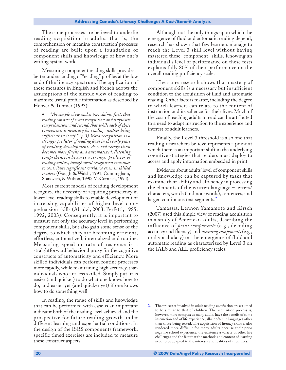The same processes are believed to underlie reading acquisition in adults, that is, the comprehension or 'meaning construction' processes of reading are built upon a foundation of component skills and knowledge of how one's writing system works.

Measuring component reading skills provides a better understanding of "reading" profiles at the low end of the literacy spectrum. The application of these measures in English and French adopts the assumptions of the simple view of reading to maximize useful profile information as described by Hoover & Tunmer (1993):

• "*the simple view makes two claims: first, that reading consists of word recognition and linguistic comprehension; and second, that while each of these components is necessary for reading, neither being sufficient in itself." (p.3) Word recognition is a stronger predictor of reading level in the early years of reading development. As word recognition becomes more fluent and automatized, listening comprehension becomes a stronger predictor of reading ability, though word recognition continues to contribute significant variance even in skilled readers* (Gough & Walsh, 1991; Cunningham, Stanovich, & Wilson, 1990; McCormick, 1994).

Most current models of reading development recognize the necessity of acquiring proficiency in lower level reading skills to enable development of increasing capabilities of higher level comprehension skills (Abadzi, 2003; Perfetti, 1985, 1992, 2003). Consequently, it is important to measure not only the accuracy level in performing component skills, but also gain some sense of the degree to which they are becoming efficient, effortless, automatized, internalized and routine. Measuring speed or rate of response is a straightforward behavioral proxy for the cognitive constructs of automaticity and efficiency. More skilled individuals can perform routine processes more rapidly, while maintaining high accuracy, than individuals who are less skilled. Simply put, it is easier (and quicker) to do what one knows how to do, and easier yet (and quicker yet) if one knows how to do something well.

In reading, the range of skills and knowledge that can be performed with ease is an important indicator both of the reading level achieved and the prospective for future reading growth under different learning and experiential conditions. In the design of the ISRS components framework, specific timed exercises are included to measure these construct aspects.

Although not the only things upon which the emergence of fluid and automatic reading depend, research has shown that few learners manage to reach the Level 3 skill level without having mastered these "component" skills. Knowing an individual's level of performance on these tests explains fully 80% of their performance on the overall reading proficiency scale.

The same research shows that mastery of component skills is a necessary but insufficient condition to the acquisition of fluid and automatic reading. Other factors matter, including the degree to which learners can relate to the content of instruction and its salience for their lives. Much of the cost of teaching adults to read can be attributed to a need to adapt instruction to the experience and interest of adult learners.

Finally, the Level 3 threshold is also one that reading researchers believe represents a point at which there is an important shift in the underlying cognitive strategies that readers must deploy to access and apply information embedded in print.

Evidence about adults' level of component skills and knowledge can be captured by tasks that examine their ability and efficiency in processing the elements of the written language – letters/ characters, words (and non-words), sentences, and larger, continuous text segments.<sup>2</sup>

Tamassia, Lennon Yamamoto and Kirsch (2007) used this simple view of reading acquisition in a study of American adults, describing the influence of *print components* (e.g., decoding accuracy and fluency) and *meaning components* (e.g., oral vocabulary) on the emergence of fluid and automatic reading as characterized by Level 3 on the IALS and ALL proficiency scales.

<sup>2.</sup> The processes involved in adult reading acquisition are assumed to be similar to that of children. The acquisition process is, however, more complex as many adults have the benefit of some instruction and of life experience, albeit often in languages other than those being tested. The acquisition of literacy skills is also rendered more difficult for many adults because their prior negative school experience, the existence a variety of other life challenges and the fact that the methods and content of learning need to be adapted to the interests and realities of their lives.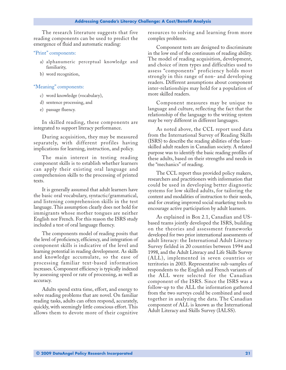The research literature suggests that five reading components can be used to predict the emergence of fluid and automatic reading:

#### "Print" components:

- a) alphanumeric perceptual knowledge and familiarity,
- b) word recognition,

#### "Meaning" components:

- c) word knowledge (vocabulary),
- d) sentence processing, and
- e) passage fluency.

In skilled reading, these components are integrated to support literacy performance.

During acquisition, they may be measured separately, with different profiles having implications for learning, instruction, and policy.

The main interest in testing reading component skills is to establish whether learners can apply their existing oral language and comprehension skills to the processing of printed texts.

It is generally assumed that adult learners have the basic oral vocabulary, syntactic/grammatical, and listening comprehension skills in the test language. This assumption clearly does not hold for immigrants whose mother tongues are neither English nor French. For this reason the ISRS study included a test of oral language fluency.

The components model of reading posits that the level of proficiency, efficiency, and integration of component skills is indicative of the level and learning potential in reading development. As skills and knowledge accumulate, so the ease of processing familiar text-based information increases. Component efficiency is typically indexed by assessing speed or rate of processing, as well as accuracy.

Adults spend extra time, effort, and energy to solve reading problems that are novel. On familiar reading tasks, adults can often respond, accurately, quickly, with seemingly little conscious effort. This allows them to devote more of their cognitive resources to solving and learning from more complex problems.

Component tests are designed to discriminate in the low end of the continuum of reading ability. The model of reading acquisition, development, and choice of item types and difficulties used to assess "components" proficiency holds most strongly in this range of non- and developing readers. Different assumptions about component inter-relationships may hold for a population of more skilled readers.

Component measures may be unique to language and culture, reflecting the fact that the relationship of the language to the writing system may be very different in different languages.

As noted above, the CCL report used data from the International Survey of Reading Skills (ISRS) to describe the reading abilities of the leastskilled adult readers in Canadian society. A related purpose was to identify the basic reading profiles of these adults, based on their strengths and needs in the "mechanics" of reading.

The CCL report thus provided policy makers, researchers and practitioners with information that could be used in developing better diagnostic systems for low skilled adults, for tailoring the content and modalities of instruction to their needs, and for creating improved social marketing tools to encourage active participation by adult learners.

As explained in Box 2.1, Canadian and USbased teams jointly developed the ISRS, building on the theories and assessment frameworks developed for two prior international assessments of adult literacy: the International Adult Literacy Survey fielded in 20 countries between 1994 and 1998, and the Adult Literacy and Life Skills Survey (ALL), implemented in seven countries or territories in 2003. Representative sub-samples of respondents to the English and French variants of the ALL were selected for the Canadian component of the ISRS. Since the ISRS was a follow-up to the ALL the information gathered from the two surveys could be combined and used together in analyzing the data. The Canadian component of ALL is known as the International Adult Literacy and Skills Survey (IALSS).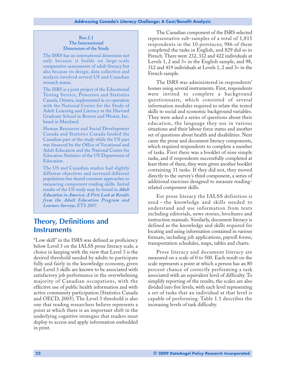#### **Box 2.1 The International Dimension of the Study**

The ISRS has an international dimension not only because it builds on large-scale comparative assessments of adult literacy but also because its design, data collection and analysis involved several US and Canadian research teams.

The ISRS is a joint project of the Educational Testing Service, Princeton and Statistics Canada, Ottawa, implemented in co-operation with the National Center for the Study of Adult Learning and Literacy at the Harvard Graduate School in Boston and Westat, Inc. based in Maryland.

Human Resources and Social Development Canada and Statistics Canada funded the Canadian part of the study while the US part was financed by the Office of Vocational and Adult Education and the National Center for Education Statistics of the US Department of Education.

The US and Canadian studies had slightly different objectives and surveyed different populations but shared common approaches to measuring component reading skills. Initial results of the US study may be found in *Adult Education in America: A First Look at Results from the Adult Education Program and Learners Surveys*, ETS 2007.

### **Theory, Definitions and Instruments**

"Low skill" in the ISRS was defined as proficiency below Level 3 on the IALSS prose literacy scale, a choice in keeping with the view that Level 3 is the desired threshold needed by adults to participate fully and fairly in the knowledge economy, given that Level 3 skills are known to be associated with satisfactory job performance in the overwhelming majority of Canadian occupations, with the effective use of public health information and with active community participation (Statistics Canada and OECD, 2005). The Level 3 threshold is also one that reading researchers believe represents a point at which there is an important shift in the underlying cognitive strategies that readers must deploy to access and apply information embedded in print.

The Canadian component of the ISRS selected representative sub-samples of a total of 1,815 respondents in the 10 provinces; 986 of them completed the tasks in English, and 829 did so in French. There were 232, 332 and 422 individuals at Levels 1, 2 and 3+ in the English sample, and 98, 312 and 419 individuals at Levels 1, 2 and 3+ in the French sample.

The ISRS was administered in respondents' homes using several instruments. First, respondents were invited to complete a background questionnaire, which consisted of several information modules required to relate the tested skills to social and economic background variables. They were asked a series of questions about their education, the language they use in various situations and their labour force status and another set of questions about health and disabilities. Next came the prose and document literacy components, which required respondents to complete a number of tasks. First there was a booklet of nine simple tasks, and if respondents successfully completed at least three of them, they were given another booklet containing 31 tasks. If they did not, they moved directly to the survey's third component, a series of additional exercises designed to measure readingrelated component skills.

For prose literacy the IALSS definition is used – the knowledge and skills needed to understand and use information from texts including editorials, news stories, brochures and instruction manuals. Similarly, document literacy is defined as the knowledge and skills required for locating and using information contained in various formats, including job applications, payroll forms, transportation schedules, maps, tables and charts.

Prose literacy and document literacy are measured on a scale of 0 to 500. Each result on the scale represents a point at which a person has an 80 percent chance of correctly performing a task associated with an equivalent level of difficulty. To simplify reporting of the results, the scales are also divided into five levels, with each level representing a set of tasks that an individual at that level is capable of performing. Table 1.1 describes the increasing levels of task difficulty.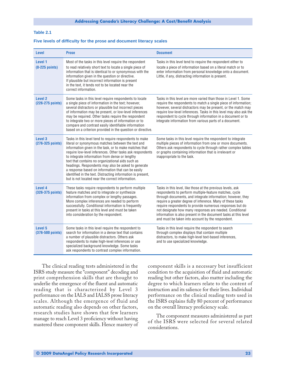#### <span id="page-24-0"></span>**Table 2.1**

#### **Five levels of difficulty for the prose and document literacy scales**

| <b>Level</b>                           | <b>Prose</b>                                                                                                                                                                                                                                                                                                                                                                                                                                                                                                                                                                | <b>Document</b>                                                                                                                                                                                                                                                                                                                                                                                                                                                                                    |
|----------------------------------------|-----------------------------------------------------------------------------------------------------------------------------------------------------------------------------------------------------------------------------------------------------------------------------------------------------------------------------------------------------------------------------------------------------------------------------------------------------------------------------------------------------------------------------------------------------------------------------|----------------------------------------------------------------------------------------------------------------------------------------------------------------------------------------------------------------------------------------------------------------------------------------------------------------------------------------------------------------------------------------------------------------------------------------------------------------------------------------------------|
| Level 1<br>$(0-225$ points)            | Most of the tasks in this level require the respondent<br>to read relatively short text to locate a single piece of<br>information that is identical to or synonymous with the<br>information given in the question or directive.<br>If plausible but incorrect information is present<br>in the text, it tends not to be located near the<br>correct information.                                                                                                                                                                                                          | Tasks in this level tend to require the respondent either to<br>locate a piece of information based on a literal match or to<br>enter information from personal knowledge onto a document.<br>Little, if any, distracting information is present.                                                                                                                                                                                                                                                  |
| Level <sub>2</sub><br>(226-275 points) | Some tasks in this level require respondents to locate<br>a single piece of information in the text; however,<br>several distractors or plausible but incorrect pieces<br>of information may be present, or low-level inferences<br>may be required. Other tasks require the respondent<br>to integrate two or more pieces of information or to<br>compare and contrast easily identifiable information<br>based on a criterion provided in the question or directive.                                                                                                      | Tasks in this level are more varied than those in Level 1. Some<br>require the respondents to match a single piece of information;<br>however, several distractors may be present, or the match may<br>require low-level inferences. Tasks in this level may also ask the<br>respondent to cycle through information in a document or to<br>integrate information from various parts of a document.                                                                                                |
| Level 3<br>(276-325 points)            | Tasks in this level tend to require respondents to make<br>literal or synonymous matches between the text and<br>information given in the task, or to make matches that<br>require low-level inferences. Other tasks ask respondents<br>to integrate information from dense or lengthy<br>text that contains no organizational aids such as<br>headings. Respondents may also be asked to generate<br>a response based on information that can be easily<br>identified in the text. Distracting information is present,<br>but is not located near the correct information. | Some tasks in this level require the respondent to integrate<br>multiple pieces of information from one or more documents.<br>Others ask respondents to cycle through rather complex tables<br>or graphs containing information that is irrelevant or<br>inappropriate to the task.                                                                                                                                                                                                                |
| Level 4<br>(326-375 points)            | These tasks require respondents to perform multiple<br>feature matches and to integrate or synthesize<br>information from complex or lengthy passages.<br>More complex inferences are needed to perform<br>successfully. Conditional information is frequently<br>present in tasks at this level and must be taken<br>into consideration by the respondent.                                                                                                                                                                                                                 | Tasks in this level, like those at the previous levels, ask<br>respondents to perform multiple-feature matches, cycle<br>through documents, and integrate information; however, they<br>require a greater degree of inference. Many of these tasks<br>require respondents to provide numerous responses but do<br>not designate how many responses are needed. Conditional<br>information is also present in the document tasks at this level<br>and must be taken into account by the respondent. |
| Level 5<br>(376-500 points)            | Some tasks in this level require the respondent to<br>search for information in a dense text that contains<br>a number of plausible distractors. Others ask<br>respondents to make high-level inferences or use<br>specialized background knowledge. Some tasks<br>ask respondents to contrast complex information.                                                                                                                                                                                                                                                         | Tasks in this level require the respondent to search<br>through complex displays that contain multiple<br>distractors, to make high-level text-based inferences,<br>and to use specialized knowledge.                                                                                                                                                                                                                                                                                              |

The clinical reading tests administered in the ISRS study measure the "component" decoding and print comprehension skills that are thought to underlie the emergence of the fluent and automatic reading that is characterized by Level 3 performance on the IALS and IALSS prose literacy scales. Although the emergence of fluid and automatic reading also depends on other factors, research studies have shown that few learners manage to reach Level 3 proficiency without having mastered these component skills. Hence mastery of component skills is a necessary but insufficient condition to the acquisition of fluid and automatic reading but other factors, also matter including the degree to which learners relate to the content of instruction and its salience for their lives. Individual performance on the clinical reading tests used in the ISRS explains fully 80 percent of performance on the overall literacy proficiency scale.

The component measures administered as part of the ISRS were selected for several related considerations.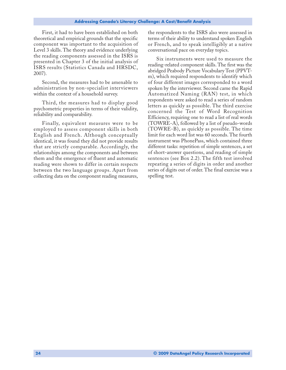First, it had to have been established on both theoretical and empirical grounds that the specific component was important to the acquisition of Level 3 skills. The theory and evidence underlying the reading components assessed in the ISRS is presented in Chapter 3 of the initial analysis of ISRS results (Statistics Canada and HRSDC, 2007).

Second, the measures had to be amenable to administration by non-specialist interviewers within the context of a household survey.

Third, the measures had to display good psychometric properties in terms of their validity, reliability and comparability.

Finally, equivalent measures were to be employed to assess component skills in both English and French. Although conceptually identical, it was found they did not provide results that are strictly comparable. Accordingly, the relationships among the components and between them and the emergence of fluent and automatic reading were shown to differ in certain respects between the two language groups. Apart from collecting data on the component reading measures,

the respondents to the ISRS also were assessed in terms of their ability to understand spoken English or French, and to speak intelligibly at a native conversational pace on everyday topics.

Six instruments were used to measure the reading-related component skills. The first was the abridged Peabody Picture Vocabulary Test (PPVTm), which required respondents to identify which of four different images corresponded to a word spoken by the interviewer. Second came the Rapid Automatized Naming (RAN) test, in which respondents were asked to read a series of random letters as quickly as possible. The third exercise concerned the Test of Word Recognition Efficiency, requiring one to read a list of real words (TOWRE-A), followed by a list of pseudo-words (TOWRE-B), as quickly as possible. The time limit for each word list was 60 seconds. The fourth instrument was PhonePass, which contained three different tasks: repetition of simple sentences, a set of short-answer questions, and reading of simple sentences (see Box 2.2). The fifth test involved repeating a series of digits in order and another series of digits out of order. The final exercise was a spelling test.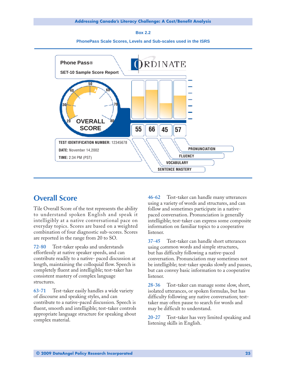**Box 2.2**





### **Overall Score**

Tile Overall Score of the test represents the ability to understand spoken English and speak it intelligibly at a native conversational pace on everyday topics. Scores are based on a weighted combination of four diagnostic sub-scores. Scores are reported in the range from 20 to SO.

**72-80** Test-taker speaks and understands effortlessly at native speaker speeds, and can contribute readily to a native- paced discussion at length, maintaining the colloquial flow. Speech is completely fluent and intelligible; test-taker has consistent mastery of complex language structures.

**63-71** Test-taker easily handles a wide variety of discourse and speaking styles, and can contribute to a native-paced discussion. Speech is fluent, smooth and intelligible; test-taker controls appropriate language structure for speaking about complex material.

**46-62** Test-taker can handle many utterances using a variety of words and structures, and can follow and sometimes participate in a nativepaced conversation. Pronunciation is generally intelligible; test-taker can express some composite information on familiar topics to a cooperative listener.

**37-45** Test-taker can handle short utterances using common words and simple structures, but has difficulty following a native-paced conversation. Pronunciation may sometimes not be intelligible; test-taker speaks slowly and pauses, but can convey basic information to a cooperative listener.

**28-36** Test-taker can manage some slow, short, isolated utterances, or spoken formulas, but has difficulty following any native conversation; testtaker may often pause to search for words and may be difficult to understand.

**20-27** Test-taker has very limited speaking and listening skills in English.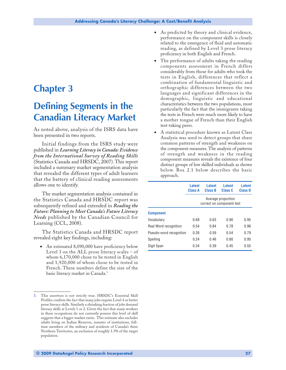# <span id="page-28-0"></span>**Chapter 3**

# **Defining Segments in the Canadian Literacy Market**

As noted above, analysis of the ISRS data have been presented in two reports.

Initial findings from the ISRS study were published in *Learning Literacy in Canada: Evidence from the International Survey of Reading Skills* (Statistics Canada and HRSDC, 2007). This report included a summary market segmentation analysis that revealed the different types of adult learners that the battery of clinical reading assessments allows one to identify.

The market segmentation analysis contained in the Statistics Canada and HRSDC report was subsequently refined and extended in *Reading the Future: Planning to Meet Canada's Future Literacy Needs* published by the Canadian Council for Learning (CCL, 2008).

The Statistics Canada and HRSDC report revealed eight key findings, including:

• An estimated 8,090,000 have proficiency below Level 3 on the ALL prose literacy scales – of whom 6,170,000 chose to be tested in English and 1,920,000 of whom chose to be tested in French. These numbers define the size of the basic literacy market in Canada.<sup>3</sup>

- As predicted by theory and clinical evidence, performance on the component skills is closely related to the emergence of fluid and automatic reading, as defined by Level 3 prose literacy proficiency in both English and French.
- The performance of adults taking the reading components assessment in French differs considerably from those for adults who took the tests in English, differences that reflect a combination of fundamental linguistic and orthographic differences between the two languages and significant differences in the demographic, linguistic and educational characteristics between the two populations, most particularly the fact that the immigrants taking the tests in French were much more likely to have a mother tongue of French than their English test-taking peers.
- A statistical procedure known as Latent Class Analysis was used to detect groups that share common patterns of strength and weakness on the component measures. The analysis of patterns of strength and weakness in the reading component measures reveals the existence of four distinct groups of low skilled individuals as shown below. Box 2.1 below describes the basic approach.

|                         | Latent<br>Class A | Latent<br><b>Class B</b> | Latent<br>Class C                               | <b>Latent</b><br><b>Class D</b> |
|-------------------------|-------------------|--------------------------|-------------------------------------------------|---------------------------------|
|                         |                   |                          | Average proportion<br>correct on component test |                                 |
| <b>Component</b>        |                   |                          |                                                 |                                 |
| Vocabulary              | 0.68              | 0.63                     | 0.90                                            | 0.95                            |
| Real Word recognition   | 0.54              | 0.84                     | 0.78                                            | 0.96                            |
| Pseudo-word recognition | 0.26              | 0.59                     | 0.54                                            | 0.79                            |
| Spelling                | 0.24              | 0.46                     | 0.80                                            | 0.95                            |
| Digit Span              | 0.34              | 0.39                     | 0.45                                            | 0.55                            |

This assertion is not strictly true. HRSDC's Essential Skill Profiles confirm the fact that many jobs require Level 4 or better prose literacy skills. Similarly a shrinking fraction of jobs demand literacy skills at Levels 1 or 2. Given the fact that many workers in these occupations do not currently possess this level of skill suggests that a bigger market exists. This estimate also excludes adults living on Indian Reserves, inmates of institutions, fulltime members of the military and residents of Canada's three Northern Territories, an exclusion of roughly 1.5% of the target population.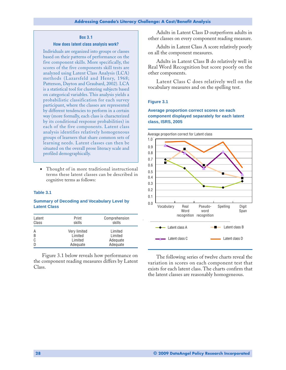#### **Box 3.1**

#### **How does latent class analysis work?**

<span id="page-29-0"></span>Individuals are organized into groups or classes based on their patterns of performance on the five component skills. More specifically, the scores of the five components skill tests are analyzed using Latent Class Analysis (LCA) methods (Lazarsfeld and Henry, 1968; Patterson, Dayton and Graubard, 2002). LCA is a statistical tool for clustering subjects based on categorical variables. This analysis yields a probabilistic classification for each survey participant, where the classes are represented by different tendencies to perform in a certain way (more formally, each class is characterized by its conditional response probabilities) in each of the five components. Latent class analysis identifies relatively homogeneous groups of learners that share common sets of learning needs. Latent classes can then be situated on the overall prose literacy scale and profiled demographically.

• Thought of in more traditional instructional terms these latent classes can be described in cognitive terms as follows:

#### **Table 3.1**

#### **Summary of Decoding and Vocabulary Level by Latent Class**

| Latent | Print        | Comprehension |
|--------|--------------|---------------|
| Class  | skills       | skills        |
| A      | Very limited | Limited       |
| B      | Limited      | Limited       |
| C      | Limited      | Adequate      |
| D      | Adequate     | Adequate      |

Figure 3.1 below reveals how performance on the component reading measures differs by Latent Class.

Adults in Latent Class D outperform adults in other classes on every component reading measure.

Adults in Latent Class A score relatively poorly on all the component measures.

Adults in Latent Class B do relatively well in Real Word Recognition but score poorly on the other components.

Latent Class C does relatively well on the vocabulary measures and on the spelling test.

#### **Figure 3.1**

#### **Average proportion correct scores on each component displayed separately for each latent class, ISRS, 2005**



The following series of twelve charts reveal the variation in scores on each component test that exists for each latent class. The charts confirm that the latent classes are reasonably homogeneous.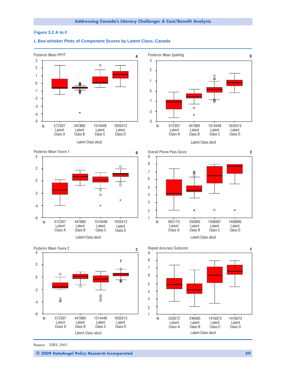#### <span id="page-30-0"></span>**Figure 3.2 A to F**

#### Posterior Mean PPVT Posterior Mean Spelling **A D** 3 3  $\circ$ 2 2 1 1 0 -1 0 -2 -1 -3 Ò -2 -4 -5 -3 572307 447860 1514448 1635513 572307 447860 1514448 1635513 N- 572307 447860 1514448 1635513 Latent Latent Latent Latent Latent Latent Latent Latent Class A Class B Class C Class D Class A Class B Class C Class D Latent Class abcd Latent Class abcd Posterior Mean Towre 1 Overall Phone Pass Score **E B** 4 9 8 2 7 6 0 5 -2 4 3 -4  $\circ$ 2  $\ast$  -6 1 572307 447860 1514448 1635513 562170 250062 1456067 1456895 N- 572307 447860 1514448 1635513 Latent Latent Latent Latent Latent Latent Latent Latent Class A Class B Class C Class D Class A Class B Class C Class D Latent Class abcd Latent Class abcd Posterior Mean Towre 2 **C F** Repeat Accuracy Subscore  $\begin{array}{ccccccc} 4 & & & & & & & 9 \ \end{array}$ 8 ŧ 3 7 6 0 5  $-2$   $4$ 3 8 -4 2 -6 1 572307 447860 1514448 1635513 520272 246065 1410073 1416073 N- 572307 447860 1514448 1635513 Latent Latent Latent Latent Latent Latent Latent Latent Class A Class B Class C Class D Class A Class B Class C Class D Latent Class abcd Latent Class abcd

#### **L Box-whisker Plots of Component Scores by Latent Class, Canada**

**Source:** ISRS, 2005.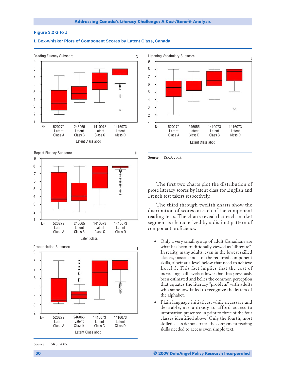#### **Figure 3.2 G to J**







**Source:** ISRS, 2005.

The first two charts plot the distribution of prose literacy scores by latent class for English and French test takers respectively.

The third through twelfth charts show the distribution of scores on each of the component reading tests. The charts reveal that each market segment is characterized by a distinct pattern of component proficiency.

- Only a very small group of adult Canadians are what has been traditionally viewed as "illiterate". In reality, many adults, even in the lowest skilled classes, possess most of the required component skills, albeit at a level below that need to achieve Level 3. This fact implies that the cost of increasing skill levels is lower than has previously been estimated and belies the common perception that equates the literacy "problem" with adults who somehow failed to recognize the letters of the alphabet.
- Plain language initiatives, while necessary and desirable, are unlikely to afford access to information presented in print to three of the four classes identified above. Only the fourth, most skilled, class demonstrates the component reading skills needed to access even simple text.





**Source:** ISRS, 2005.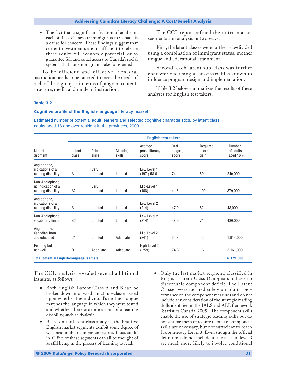<span id="page-32-0"></span>• The fact that a significant fraction of adults' in each of these classes are immigrants to Canada is a cause for concern. These findings suggest that current investments are insufficient to release these adults full economic potential, or to guarantee full and equal access to Canada's social systems that non-immigrants take for granted.

To be efficient and effective, remedial instruction needs to be tailored to meet the needs of each of these groups - in terms of program content, structure, media and mode of instruction.

The CCL report refined the initial market segmentation analysis in two ways.

First, the latent classes were further sub-divided using a combination of immigrant status, mother tongue and educational attainment.

Second, each latent sub-class was further characterized using a set of variables known to influence program design and implementation.

Table 3.2 below summarizes the results of these analyses for English test takers.

#### **Table 3.2**

#### **Cognitive profile of the English-language literacy market**

Estimated number of potential adult learners and selected cognitive characteristics, by latent class, adults aged 16 and over resident in the provinces, 2003

|                                                             |                 |                  |                   | <b>English test takers</b>         |                                  |                           |                                    |
|-------------------------------------------------------------|-----------------|------------------|-------------------|------------------------------------|----------------------------------|---------------------------|------------------------------------|
| Market<br>Segment                                           | Latent<br>class | Prints<br>skills | Meaning<br>skills | Average<br>prose literacy<br>score | <b>Oral</b><br>language<br>score | Required<br>score<br>gain | Number<br>of adults<br>aged $16 +$ |
| Anglophone,<br>indications of a<br>reading disability       | A1              | Very<br>Limited  | Limited           | Low Level 1<br>(197) 58.6          | 74                               | 69                        | 240,000                            |
| Non-Anglophone,<br>no indication of a<br>reading disability | A2              | Very<br>Limited  | Limited           | Mid-Level 1<br>(168)               | 41.8                             | 100                       | 379,000                            |
| Anglophone,<br>indications of a<br>reading disability       | B1              | Limited          | Limited           | Low Level 2<br>(214)               | 47.9                             | 82                        | 48,000                             |
| Non-Anglophone,<br>vocabulary limited                       | B <sub>2</sub>  | Limited          | Limited           | Low Level 2<br>(214)               | 48.9                             | 71                        | 430,000                            |
| Anglophone,<br>Canadian-born<br>and educated                | C <sub>1</sub>  | Limited          | Adequate          | Mid-Level 2<br>(241)               | 64.3                             | 42                        | 1,914,000                          |
| Reading but<br>not well                                     | D <sub>1</sub>  | Adequate         | Adequate          | High Level 2<br>259)               | 74.6                             | 16                        | 3,161,000                          |
| <b>Total potential English-language learners</b>            |                 |                  |                   |                                    |                                  |                           | 6,171,000                          |

The CCL analysis revealed several additional insights, as follows:

- Both English Latent Class A and B can be broken down into two distinct sub-classes based upon whether the individual's mother tongue matches the language in which they were tested and whether there are indications of a reading disability, such as dyslexia.
- Based on the latent class analysis, the first five English market segments exhibit some degree of weakness in their component scores. Thus, adults in all five of these segments can all be thought of as still being in the process of learning to read.
- Only the last market segment, classified in English Latent Class D, appears to have no discernable component deficit. The Latent Classes were defined solely on adults' performance on the component measures and do not include any consideration of the strategic reading skills identified in the IALS and ALL framework (Statistics Canada, 2005). The component skills enable the use of strategic reading skills but do not assume them or require them. i.e., component skills are necessary, but not sufficient to reach Prose literacy Level 3. Even though the official definitions do not include it, the tasks in level 3 are much more likely to involve conditional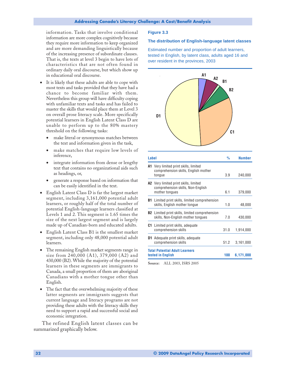<span id="page-33-0"></span>information. Tasks that involve conditional information are more complex cognitively because they require more information to keep organized and are more demanding linguistically because of the increasing presence of subordinate clauses. That is, the texts at level 3 begin to have lots of characteristics that are not often found in ordinary daily oral discourse, but which show up in educational oral discourse.

- It is likely that these adults are able to cope with most texts and tasks provided that they have had a chance to become familiar with them. Nevertheless this group will have difficulty coping with unfamiliar texts and tasks and has failed to master the skills that would place them at Level 3 on overall prose literacy scale. More specifically potential learners in English Latent Class D are unable to perform up to the 80% mastery threshold on the following tasks:
	- make literal or synonymous matches between the text and information given in the task,
	- make matches that require low levels of inference,
	- integrate information from dense or lengthy text that contains no organizational aids such as headings, or,
	- generate a response based on information that can be easily identified in the text.
- English Latent Class D is far the largest market segment, including 3,161,000 potential adult learners, or roughly half of the total number of potential English-language learners classified at Levels 1 and 2. This segment is 1.65 times the size of the next largest segment and is largely made up of Canadian-born and educated adults.
- English Latent Class B1 is the smallest market segment, including only 48,000 potential adult learners.
- The remaining English market segments range in size from 240,000 (A1), 379,000 (A2) and 430,000 (B2). While the majority of the potential learners in these segments are immigrants to Canada, a small proportion of them are aboriginal Canadians with a mother tongue other than English.
- The fact that the overwhelming majority of these latter segments are immigrants suggests that current language and literacy programs are not providing these adults with the literacy skills they need to support a rapid and successful social and economic integration.

The refined English latent classes can be summarized graphically below.

#### **Figure 3.3**

#### **The distribution of English-language latent classes**

Estimated number and proportion of adult learners, tested in English, by latent class, adults aged 16 and over resident in the provinces, 2003



**Source:** ALL 2003, ISRS 2005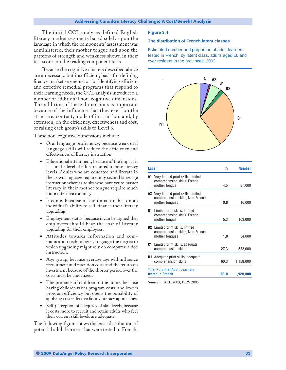<span id="page-34-0"></span>The initial CCL analyses defined English literacy market segments based solely upon the language in which the components' assessment was administered, their mother tongue and upon the patterns of strength and weakness shown in their test scores on the reading component tests.

Because the cognitive clusters described above are a necessary, but insufficient, basis for defining literacy market segments, or for identifying efficient and effective remedial programs that respond to their learning needs, the CCL analysis introduced a number of additional non-cognitive dimensions. The addition of these dimensions is important because of the influence that they exert on the structure, content, mode of instruction, and, by extension, on the efficiency, effectiveness and cost, of raising each group's skills to Level 3.

These non-cognitive dimensions include:

- Oral language proficiency, because weak oral language skills will reduce the efficiency and effectiveness of literacy instruction.
- Educational attainment, because of the impact it has on the level of effort required to raise literacy levels. Adults who are educated and literate in their own language require only second language instruction whereas adults who have yet to master literacy in their mother tongue require much more intensive training.
- Income, because of the impact it has on an individual's ability to self-finance their literacy upgrading.
- Employment status, because it can be argued that employers should bear the cost of literacy upgrading for their employees.
- Attitudes towards information and communication technologies, to gauge the degree to which upgrading might rely on computer-aided instruction.
- Age group, because average age will influence recruitment and retention costs and the return on investment because of the shorter period over the costs must be amortized.
- The presence of children in the home, because having children raises program costs, and lowers program efficiency but opens the possibility of applying cost-effective family literacy approaches.
- Self-perception of adequacy of skill levels, because it costs more to recruit and retain adults who feel their current skill levels are adequate.

The following figure shows the basic distribution of potential adult learners that were tested in French.

#### **Figure 3.4**

#### **The distribution of French latent classes**

Estimated number and proportion of adult learners, tested in French, by latent class, adults aged 16 and over resident in the provinces, 2003



| Label |                                                                                                    | %     | <b>Number</b> |
|-------|----------------------------------------------------------------------------------------------------|-------|---------------|
|       | <b>A1</b> Very limited print skills, limited<br>comprehension skills, French<br>mother tonque      | 4.5   | 87,000        |
|       | <b>A2</b> Very limited print skills, limited<br>comprehension skills, Non-French<br>mother tongues | 0.8   | 16,000        |
| B1.   | Limited print skills, limited<br>comprehension skills, French<br>mother tongue                     | 53    | 103,000       |
|       | <b>B2</b> Limited print skills, limited<br>comprehension skills, Non-French<br>mother tongues      | 1.8   | 34,000        |
|       | <b>C1</b> Limited print skills, adequate<br>comprehension skills                                   | 27.3  | 522,000       |
| D1.   | Adequate print skills, adequate<br>comprehension skills                                            | 60.3  | 1,158,000     |
|       | <b>Total Potential Adult Learners</b><br>tested in French                                          | 100.0 | 1,920,000     |

**Source:** ALL 2003, ISRS 2005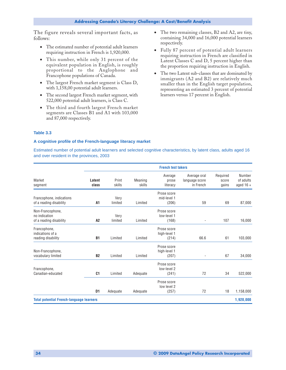<span id="page-35-0"></span>The figure reveals several important facts, as follows:

- The estimated number of potential adult learners requiring instruction in French is 1,920,000.
- This number, while only 31 percent of the equivalent population in English, is roughly proportional to the Anglophone and Francophone populations of Canada.
- The largest French market segment is Class D, with 1,158,00 potential adult learners.
- The second largest French market segment, with 522,000 potential adult learners, is Class C.
- The third and fourth largest French market segments are Classes B1 and A1 with 103,000 and 87,000 respectively.
- The two remaining classes, B2 and A2, are tiny, containing 34,000 and 16,000 potential learners respectively.
- Fully 87 percent of potential adult learners requiring instruction in French are classified in Latent Classes C and D, 5 percent higher than the proportion requiring instruction in English.
- The two Latent sub-classes that are dominated by immigrants (A2 and B2) are relatively much smaller than in the English target population, representing an estimated 3 percent of potential learners versus 17 percent in English.

#### **Table 3.3**

#### **A cognitive profile of the French-language literacy market**

Estimated number of potential adult learners and selected cognitive characteristics, by latent class, adults aged 16 and over resident in the provinces, 2003

|                                                              |                 |                 |                   | <b>French test takers</b>            |                                             |                            |                                    |
|--------------------------------------------------------------|-----------------|-----------------|-------------------|--------------------------------------|---------------------------------------------|----------------------------|------------------------------------|
| Market<br>segment                                            | Latent<br>class | Print<br>skills | Meaning<br>skills | Average<br>prose<br>literacy         | Average oral<br>language score<br>in French | Required<br>score<br>gains | Number<br>of adults<br>aged $16 +$ |
| Francophone, indications<br>of a reading disability          | A1              | Very<br>limited | Limited           | Prose score<br>mid-level 1<br>(206)  | 59                                          | 69                         | 87,000                             |
| Non-Francophone,<br>no indication<br>of a reading disability | A <sub>2</sub>  | Very<br>limited | Limited           | Prose score<br>low-level 1<br>(168)  | $\overline{\phantom{a}}$                    | 107                        | 16,000                             |
| Francophone,<br>indications of a<br>reading disability       | <b>B1</b>       | Limited         | Limited           | Prose score<br>high-level 1<br>(214) | 66.6                                        | 61                         | 103,000                            |
| Non-Francophone,<br>vocabulary limited                       | <b>B2</b>       | Limited         | Limited           | Prose score<br>high-level 1<br>(207) | $\overline{\phantom{a}}$                    | 67                         | 34,000                             |
| Francophone,<br>Canadian-educated                            | C1              | Limited         | Adequate          | Prose score<br>low-level 2<br>(241)  | 72                                          | 34                         | 522,000                            |
|                                                              | D1              | Adequate        | Adequate          | Prose score<br>low level 2<br>(257)  | 72                                          | 18                         | 1,158,000                          |
| <b>Total potential French-language learners</b>              |                 |                 |                   |                                      |                                             |                            | 1,920,000                          |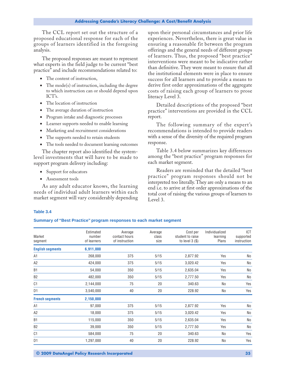<span id="page-36-0"></span>The CCL report set out the structure of a proposed educational response for each of the groups of learners identified in the foregoing analysis.

The proposed responses are meant to represent what experts in the field judge to be current "best practice" and include recommendations related to:

- The content of instruction,
- The mode(s) of instruction, including the degree to which instruction can or should depend upon ICT's.
- The location of instruction
- The average duration of instruction
- Program intake and diagnostic processes
- Learner supports needed to enable learning
- Marketing and recruitment considerations
- The supports needed to retain students
- The tools needed to document learning outcomes

The chapter report also identified the systemlevel investments that will have to be made to support program delivery including:

- Support for educators
- Assessment tools

As any adult educator knows, the learning needs of individual adult learners within each market segment will vary considerably depending upon their personal circumstances and prior life experiences. Nevertheless, there is great value in ensuring a reasonable fit between the program offerings and the general needs of different groups of learners. Thus, the proposed "best practice" interventions were meant to be indicative rather than definitive. They were meant to ensure that all the institutional elements were in place to ensure success for all learners and to provide a means to derive first order approximations of the aggregate costs of raising each group of learners to prose literacy Level 3.

Detailed descriptions of the proposed "best practice" interventions are provided in the CCL report.

The following summary of the expert's recommendations is intended to provide readers with a sense of the diversity of the required program response.

Table 3.4 below summarizes key differences among the "best practice" program responses for each market segment.

Readers are reminded that the detailed "best practice" program responses should not be interpreted too literally. They are only a means to an end i.e. to arrive at first order approximations of the total cost of raising the various groups of learners to Level 3.

#### **Table 3.4**

#### **Summary of "Best Practice" program responses to each market segment**

| Market<br>segment       | Estimated<br>number<br>of learners | Average<br>contact hours<br>of instruction | Average<br>class<br>size | Cost per<br>student to raise<br>to level $3($ \$) | Individualized<br>learning<br>Plans | ICT<br>supported<br>instruction |
|-------------------------|------------------------------------|--------------------------------------------|--------------------------|---------------------------------------------------|-------------------------------------|---------------------------------|
| <b>English segments</b> | 6,911,000                          |                                            |                          |                                                   |                                     |                                 |
| A1                      | 268,000                            | 375                                        | 5/15                     | 2,877.92                                          | Yes                                 | No                              |
| A <sub>2</sub>          | 424,000                            | 375                                        | 5/15                     | 3,020.42                                          | Yes                                 | No                              |
| <b>B1</b>               | 54,000                             | 350                                        | 5/15                     | 2,635.04                                          | Yes                                 | No                              |
| B <sub>2</sub>          | 482,000                            | 350                                        | 5/15                     | 2,777.50                                          | Yes                                 | No                              |
| C <sub>1</sub>          | 2,144,000                          | 75                                         | 20                       | 340.63                                            | No                                  | Yes                             |
| D <sub>1</sub>          | 3,540,000                          | 40                                         | 20                       | 228.92                                            | No                                  | Yes                             |
| <b>French segments</b>  | 2,150,000                          |                                            |                          |                                                   |                                     |                                 |
| A1                      | 97,000                             | 375                                        | 5/15                     | 2,877.92                                          | Yes                                 | No                              |
| A <sub>2</sub>          | 18,000                             | 375                                        | 5/15                     | 3,020.42                                          | Yes                                 | No                              |
| B <sub>1</sub>          | 115,000                            | 350                                        | 5/15                     | 2,635.04                                          | Yes                                 | No                              |
| B <sub>2</sub>          | 39,000                             | 350                                        | 5/15                     | 2,777.50                                          | Yes                                 | No                              |
| C <sub>1</sub>          | 584,000                            | 75                                         | 20                       | 340.63                                            | No                                  | Yes                             |
| D1                      | 1,297,000                          | 40                                         | 20                       | 228.92                                            | No                                  | Yes                             |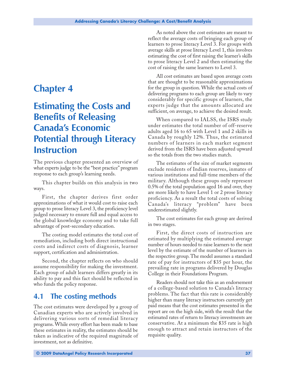# <span id="page-38-0"></span>**Chapter 4**

# **Estimating the Costs and Benefits of Releasing Canada's Economic Potential through Literacy Instruction**

The previous chapter presented an overview of what experts judge to be the "best practice" program response to each group's learning needs.

This chapter builds on this analysis in two ways.

First, the chapter derives first order approximations of what it would cost to raise each group to prose literacy Level 3, the proficiency level judged necessary to ensure full and equal access to the global knowledge economy and to take full advantage of post-secondary education.

The costing model estimates the total cost of remediation, including both direct instructional costs and indirect costs of diagnosis, learner support, certification and administration.

Second, the chapter reflects on who should assume responsibility for making the investment. Each group of adult learners differs greatly in its ability to pay and this fact should be reflected in who funds the policy response.

### **4.1 The costing methods**

The cost estimates were developed by a group of Canadian experts who are actively involved in delivering various sorts of remedial literacy programs. While every effort has been made to base these estimates in reality, the estimates should be taken as indicative of the required magnitude of investment, not as definitive.

As noted above the cost estimates are meant to reflect the average costs of bringing each group of learners to prose literacy Level 3. For groups with average skills at prose literacy Level 1, this involves estimating the cost of first raising the learner's skills to prose literacy Level 2 and then estimating the cost of raising the same learners to Level 3.

All cost estimates are based upon average costs that are thought to be reasonable approximations for the group in question. While the actual costs of delivering programs to each group are likely to vary considerably for specific groups of learners, the experts judge that the amounts allocated are sufficient, on average, to achieve the desired result.

When compared to IALSS, the ISRS study under estimates the total number of off-reserve adults aged 16 to 65 with Level 1 and 2 skills in Canada by roughly 12%. Thus, the estimated numbers of learners in each market segment derived from the ISRS have been adjusted upward so the totals from the two studies match.

The estimates of the size of market segments exclude residents of Indian reserves, inmates of various institutions and full-time members of the military. Although these groups only represent 0.5% of the total population aged 16 and over, they are more likely to have Level 1 or 2 prose literacy proficiency. As a result the total costs of solving Canada's literacy "problem" have been underestimated slightly.

The cost estimates for each group are derived in two stages.

First, the direct costs of instruction are estimated by multiplying the estimated average number of hours needed to raise learners to the next level by the estimate of the number of learners in the respective group. The model assumes a standard rate of pay for instructors of \$35 per hour, the prevailing rate in programs delivered by Douglas College in their Foundations Program.

Readers should not take this as an endorsement of a college-based solution to Canada's literacy problems. The fact that this rate is considerably higher than many literacy instructors currently get paid means that the cost estimates presented in the report are on the high side, with the result that the estimated rates of return to literacy investments are conservative. At a minimum the \$35 rate is high enough to attract and retain instructors of the requisite quality.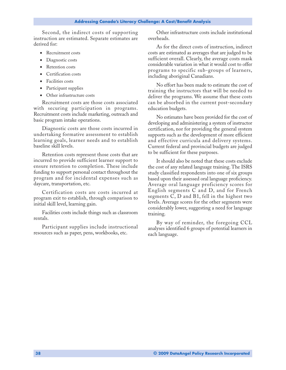Second, the indirect costs of supporting instruction are estimated. Separate estimates are derived for:

- Recruitment costs
- Diagnostic costs
- Retention costs
- Certification costs
- Facilities costs
- Participant supplies
- Other infrastructure costs

Recruitment costs are those costs associated with securing participation in programs. Recruitment costs include marketing, outreach and basic program intake operations.

Diagnostic costs are those costs incurred in undertaking formative assessment to establish learning goals, learner needs and to establish baseline skill levels.

Retention costs represent those costs that are incurred to provide sufficient learner support to ensure retention to completion. These include funding to support personal contact throughout the program and for incidental expenses such as daycare, transportation, etc.

Certification costs are costs incurred at program exit to establish, through comparison to initial skill level, learning gain.

Facilities costs include things such as classroom rentals.

Participant supplies include instructional resources such as paper, pens, workbooks, etc.

Other infrastructure costs include institutional overheads.

As for the direct costs of instruction, indirect costs are estimated as averages that are judged to be sufficient overall. Clearly, the average costs mask considerable variation in what it would cost to offer programs to specific sub-groups of learners, including aboriginal Canadians.

No effort has been made to estimate the cost of training the instructors that will be needed to deliver the programs. We assume that these costs can be absorbed in the current post-secondary education budgets.

No estimates have been provided for the cost of developing and administering a system of instructor certification, nor for providing the general system supports such as the development of more efficient and effective curricula and delivery systems. Current federal and provincial budgets are judged to be sufficient for these purposes.

It should also be noted that these costs exclude the cost of any related language training. The ISRS study classified respondents into one of six groups based upon their assessed oral language proficiency. Average oral language proficiency scores for English segments C and D, and for French segments C, D and B1, fell in the highest two levels. Average scores for the other segments were considerably lower, suggesting a need for language training.

By way of reminder, the foregoing CCL analyses identified 6 groups of potential learners in each language.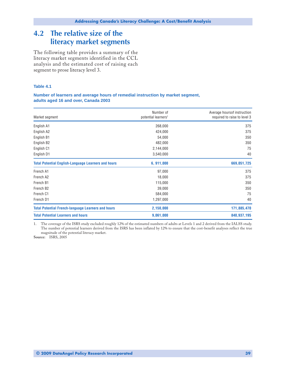## <span id="page-40-0"></span>**4.2 The relative size of the literacy market segments**

The following table provides a summary of the literacy market segments identified in the CCL analysis and the estimated cost of raising each segment to prose literacy level 3.

#### **Table 4.1**

#### **Number of learners and average hours of remedial instruction by market segment, adults aged 16 and over, Canada 2003**

| Market segment                                             | Number of<br>potential learners <sup>1</sup> | Average hours of instruction<br>required to raise to level 3 |
|------------------------------------------------------------|----------------------------------------------|--------------------------------------------------------------|
| English A1                                                 | 268,000                                      | 375                                                          |
| English A2                                                 | 424,000                                      | 375                                                          |
| English B1                                                 | 54,000                                       | 350                                                          |
| English B <sub>2</sub>                                     | 482,000                                      | 350                                                          |
| English C1                                                 | 2,144,000                                    | 75                                                           |
| English D1                                                 | 3,540,000                                    | 40                                                           |
| <b>Total Potential English-Language Learners and hours</b> | 6, 911,000                                   | 669,051,725                                                  |
| French A1                                                  | 97,000                                       | 375                                                          |
| French A2                                                  | 18,000                                       | 375                                                          |
| French B1                                                  | 115,000                                      | 350                                                          |
| French B <sub>2</sub>                                      | 39,000                                       | 350                                                          |
| French C1                                                  | 584,000                                      | 75                                                           |
| French D1                                                  | 1,297,000                                    | 40                                                           |
| <b>Total Potential French-language Learners and hours</b>  | 2,150,000                                    | 171,885,470                                                  |
| <b>Total Potential Learners and hours</b>                  | 9,061,000                                    | 840,937,195                                                  |

1. The coverage of the ISRS study excluded roughly 12% of the estimated numbers of adults at Levels 1 and 2 derived from the IALSS study. The number of potential learners derived from the ISRS has been inflated by 12% to ensure that the cost-benefit analyses reflect the true magnitude of the potential literacy market.

**Source:** ISRS, 2005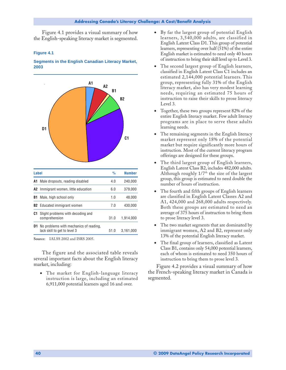<span id="page-41-0"></span>Figure 4.1 provides a visual summary of how the English-speaking literacy market is segmented.

#### **Figure 4.1**

#### **Segments in the English Canadian Literacy Market, 2003**



**Source:** IALSS 2002 and ISRS 2005.

The figure and the associated table reveals several important facts about the English literacy market, including:

• The market for English-language literacy instruction is large, including an estimated 6,911,000 potential learners aged 16 and over.

- By far the largest group of potential English learners, 3,540,000 adults, are classified in English Latent Class D1. This group of potential learners, representing over half (51%) of the entire English market is estimated to need only 40 hours of instruction to bring their skill level up to Level 3.
- The second largest group of English learners, classified in English Latent Class C1 includes an estimated 2,144,000 potential learners. This group, representing fully 31% of the English literacy market, also has very modest learning needs, requiring an estimated 75 hours of instruction to raise their skills to prose literacy Level 3.
- Together, these two groups represent 82% of the entire English literacy market. Few adult literacy programs are in place to serve these adults learning needs.
- The remaining segments in the English literacy market represent only 18% of the potential market but require significantly more hours of instruction. Most of the current literacy program offerings are designed for these groups.
- The third largest group of English learners, English Latent Class B2, includes 482,000 adults. Although roughly  $1/7<sup>th</sup>$  the size of the largest group, this group is estimated to need double the number of hours of instruction.
- The fourth and fifth groups of English learners are classified in English Latent Classes A2 and A1, 424,000 and 268,000 adults respectively. Both these groups are estimated to need an average of 375 hours of instruction to bring them to prose literacy level 3.
- The two market segments that are dominated by immigrant women, A2 and B2, represent only 13% of the potential English literacy market.
- The final group of learners, classified as Latent Class B1, contains only 54,000 potential learners, each of whom is estimated to need 350 hours of instruction to bring them to prose level 3.

Figure 4.2 provides a visual summary of how the French-speaking literacy market in Canada is segmented.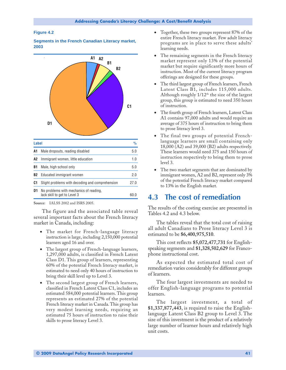#### <span id="page-42-0"></span>**Figure 4.2**

**Segments in the French Canadian Literacy market, 2003**



**Source:** IALSS 2002 and ISRS 2005.

The figure and the associated table reveal several important facts about the French literacy market in Canada, including:

- The market for French-language literacy instruction is large, including 2,150,000 potential learners aged 16 and over.
- The largest group of French-language learners, 1,297,000 adults, is classified in French Latent Class D1. This group of learners, representing 60% of the potential French literacy market, is estimated to need only 40 hours of instruction to bring their skill level up to Level 3.
- The second largest group of French learners, classified in French Latent Class C1, includes an estimated 584,000 potential learners. This group represents an estimated 27% of the potential French literacy market in Canada. This group has very modest learning needs, requiring an estimated 75 hours of instruction to raise their skills to prose literacy Level 3.
- Together, these two groups represent 87% of the entire French literacy market. Few adult literacy programs are in place to serve these adults' learning needs.
- The remaining segments in the French literacy market represent only 13% of the potential market but require significantly more hours of instruction. Most of the current literacy program offerings are designed for these groups.
- The third largest group of French learners, French Latent Class B1, includes 115,000 adults. Although roughly  $1/12<sup>th</sup>$  the size of the largest group, this group is estimated to need 350 hours of instruction.
- The fourth group of French learners, Latent Class A1 contains 97,000 adults and would require an average of 375 hours of instruction to bring them to prose literacy level 3.
- The final two groups of potential Frenchlanguage learners are small containing only 18,000 (A2) and 39,000 (B2) adults respectively. These learners would need 375 and 150 hours of instruction respectively to bring them to prose level 3.
- The two market segments that are dominated by immigrant women, A2 and B2, represent only 3% of the potential French literacy market compared to 13% in the English market.

### **4.3 The cost of remediation**

The results of the costing exercise are presented in Tables 4.2 and 4.3 below.

The tables reveal that the total cost of raising all adult Canadians to Prose literacy Level 3 is estimated to be **\$6,400,975,510**.

This cost reflects **\$5,072,477,731** for Englishspeaking segments and **\$1,328,502,629** for Francophone instructional cost.

As expected the estimated total cost of remediation varies considerably for different groups of learners.

The four largest investments are needed to offer English-language programs to potential learners.

The largest investment, a total of **\$1,337,877,443**, is required to raise the Englishlanguage Latent Class B2 group to Level 3. The size of this investment is the product of a relatively large number of learner hours and relatively high unit costs.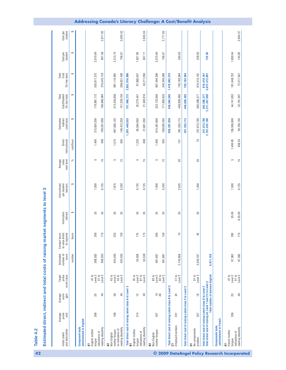<span id="page-43-0"></span>

| and description<br>Initial Latent                                                                                     | prose<br>Average<br>cost | score<br>gain<br>Average                | prose<br>score class<br>Target                                                                      | score<br>Estimated<br>number of | Contact hours<br>to raise direct<br>to required | Instruction<br>indirect | per student<br>learners<br>Instructional | Average<br>class<br>next level | Direct<br>instructional | indirect<br>cost/class<br>Estimated | On line tests<br>Cost/Student<br>Total | On line tests<br>Cost<br>Total | Cost per<br>student | student<br>Cost per |
|-----------------------------------------------------------------------------------------------------------------------|--------------------------|-----------------------------------------|-----------------------------------------------------------------------------------------------------|---------------------------------|-------------------------------------------------|-------------------------|------------------------------------------|--------------------------------|-------------------------|-------------------------------------|----------------------------------------|--------------------------------|---------------------|---------------------|
|                                                                                                                       |                          |                                         |                                                                                                     | number                          | hours                                           | ↮                       | ↮                                        | న్                             | cost/hour               | ↮                                   | ↮                                      | ↮                              | ↮                   | ↮                   |
| administered in English<br>Component tests                                                                            |                          |                                         |                                                                                                     |                                 |                                                 |                         |                                          |                                |                         |                                     |                                        |                                |                     |                     |
| English mother<br>indications of<br>tongue<br>Ξ                                                                       | 206                      | 20                                      | A1 to<br>Level 2                                                                                    | 268,303                         | 200                                             | 35                      | 7,000                                    | 5                              | 1,400                   | 375,624,200                         | 179,987,172                            | 555,611,372                    | 2,070.84            |                     |
| reading disability                                                                                                    |                          | 49                                      | A1 to<br>Level 3                                                                                    | 268,303                         | 175                                             | 35                      | 6,125                                    | 15                             | 408                     | 109,557,058                         | 106,986,094                            | 216,543,153                    | 807.08              | 2,877.92            |
| no indication of<br>mother tongue<br>Non-English<br>2                                                                 | 168                      | 58                                      | Level 2<br>$A2$ to                                                                                  | 424,035                         | 225                                             | 35                      | 7,875                                    | 5                              | 1,575                   | 667,855,125                         | 313,255,856                            | 981,110,981                    | 2,313.75            |                     |
| reading disability                                                                                                    |                          | $\overline{49}$                         | A2 to<br>Level 3                                                                                    | 424,035                         | 150                                             | 35                      | 5,250                                    | 15                             | 350                     | 148,412,250                         | 151,239,150                            | 299,651,400                    | 706.67              | 3,020.42            |
| Total direct cost of raising latent class A to Level 3                                                                |                          |                                         |                                                                                                     |                                 |                                                 |                         |                                          |                                |                         | 1,301,448,633                       | 751,468,272                            | 2,052,916,906                  |                     |                     |
| English mother<br>indications of<br>tongue<br>눕                                                                       | 214                      | $\frac{1}{2}$                           | B1 to<br>Level 2                                                                                    | 53,538                          | 175                                             | 35                      | 6,125                                    | 5                              | 1,225                   | 65,584,050                          | 32,279,457                             | 97,863,507                     | 1,827.93            |                     |
| reading disability                                                                                                    |                          | 49                                      | B1 to<br>Level 3                                                                                    | 53,538                          | 175                                             | 35                      | 6,125                                    | $\frac{5}{1}$                  | 408                     | 21,861,350                          | 21,349,916                             | 43,211,266                     | 807.11              | 2,635.04            |
| mother tongue<br>Non-English<br>B <sub>2</sub>                                                                        | 207                      | 99                                      | B2 to<br>Level 2                                                                                    | 481,687                         | 200                                             | 35                      | 7,000                                    | 5                              | 1,400                   | 674,361,800                         | 323, 132, 560                          | 997,494,360                    | 2,070.84            |                     |
|                                                                                                                       |                          |                                         | B <sub>2</sub> to<br>Level 3                                                                        | 481,687                         | 150                                             | 35                      | 5,250                                    | $\frac{5}{1}$                  | 350                     | 168,590,450                         | 171,802,633                            | 340,393,083                    | 706.67              | 2,777.50            |
| Total direct cost of raising Latent class B to Level<br>5                                                             |                          |                                         | S                                                                                                   |                                 |                                                 |                         |                                          |                                |                         | 930, 397, 650                       | 548,564,565                            | 1,478,962,215                  |                     |                     |
| Employed workers                                                                                                      | 241                      | 34                                      | C1 to<br>Level 3                                                                                    | 2,143,658                       | 75                                              | 35                      | 2,625                                    | $_{20}$                        | 131                     | 281,355,113                         | 448,828,482                            | 730, 183, 594                  | 340.63              |                     |
| Total direct cost of raising Latent class C to Level                                                                  |                          |                                         | S                                                                                                   |                                 |                                                 |                         |                                          |                                |                         | 281, 355, 113                       | 448,828,482                            | 730, 183, 594                  |                     |                     |
| No components<br>problem<br>Б                                                                                         | 257                      | $\frac{\infty}{\infty}$                 | D1 to<br>Level 3                                                                                    | 3,540,197                       | $\overline{a}$                                  | 35                      | 1,400                                    | 20                             | 20                      | 247,813,790                         | 562,596,377                            | 810,410,167                    | 228.92              |                     |
| Total direct cost of raising Latent class D to Level 3<br>Total direct cost of raising all Level 1 and 2's to Level 3 |                          | <b>Total number of learners English</b> |                                                                                                     | 6,911,418                       |                                                 |                         |                                          |                                |                         | 247,813,790<br>2,761,015,186        | 562,596,377<br>2,311,457,695           | 810,410,167<br>5,072,472,881   | 733.93              |                     |
| administered in French<br>Components tests                                                                            |                          |                                         |                                                                                                     |                                 |                                                 |                         |                                          |                                |                         |                                     |                                        |                                |                     |                     |
| French mother<br>tongue<br>Ξ                                                                                          | 206                      | 20                                      | $\begin{array}{r}\nA1 \text{ to} \\ \text{Level 2} \\ A1 \text{ to} \\ \text{Level 3}\n\end{array}$ | 97,362                          | 200                                             | 35.00                   | 7,000                                    | 5                              | 1,400.00                | 136,306,800                         | 44,741,952                             | 181,048,752                    | 1,859.54            |                     |
| reading disability<br>indications of                                                                                  |                          | $\overline{49}$                         |                                                                                                     | 97,362                          | 175                                             | 35.00<br>↮              | 6,125                                    | $\frac{5}{3}$                  | 408.33                  | 39,756,150                          | 32,761,397                             | 72,517,547                     | 744.82              | 2,604.37            |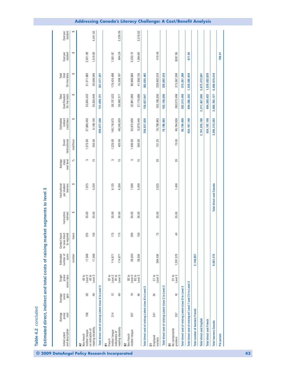|                                                             |                          |                          |                                                  |                                 | Estimated direct, indirect and total costs of raising market segments to level 3 |                         |                                          |                                |                         |                                     |                                        |                                |                     |                     |
|-------------------------------------------------------------|--------------------------|--------------------------|--------------------------------------------------|---------------------------------|----------------------------------------------------------------------------------|-------------------------|------------------------------------------|--------------------------------|-------------------------|-------------------------------------|----------------------------------------|--------------------------------|---------------------|---------------------|
| and description<br>Initial Latent                           | prose<br>cost<br>Average | Average<br>score<br>gain | prose<br>Target<br>score class                   | score<br>Estimated<br>number of | hours<br>to raise direct<br>to required<br>Contact                               | Instruction<br>indirect | per student<br>learners<br>Instructional | Average<br>class<br>next level | Direct<br>instructional | Estimated<br>indirect<br>cost/class | Cost/Student<br>On line tests<br>Total | Total<br>Cost<br>On line tests | Cost per<br>student | Cost per<br>student |
|                                                             |                          |                          |                                                  | number                          | hours                                                                            | ↮                       | ↮                                        | న్                             | cost/hour               | 6                                   | ↮                                      | ↔                              | ↮                   | ↮                   |
| no indication of<br>mother tongue<br>A2<br>Non-french       | 168                      | 58                       | A2 to<br>Level 2                                 | 17,566                          | 225                                                                              | 35.00                   | 7,875                                    | S                              | 1,575.00                | 27,666,450                          | 23,645,433                             | 51,311,883                     | 2,921.09            |                     |
| reading disability                                          |                          | $\overline{49}$          | A2 to<br>Level 3                                 | 17,566                          | 150                                                                              | 35.00                   | 5,250                                    | 15                             | 350.00                  | 6,148,100                           | 20,550,949                             | 26,699,049                     | 1,519.93            | 4,441.02            |
| Total direct cost of raising Latent class A to Level        |                          |                          | က                                                |                                 |                                                                                  |                         |                                          |                                |                         | 209,877,500                         | 121,699,731                            | 331,577,231                    |                     |                     |
| mother tongue<br>indications of<br>French<br>풉              | 214                      | $\tilde{c}$              | B1 to<br>B1 to<br>Level 2                        | 114,871                         | 175                                                                              | 35.00                   | 6,125                                    | 5                              | 1,225.00                | 140,716,975                         | 38,707,523                             | 179,424,498                    | 1,561.97            |                     |
| reading disability                                          |                          | $\overline{49}$          | Level 3                                          | 114,871                         | 175                                                                              | 36.00                   | 6,300                                    | $\frac{5}{1}$                  | 420.00                  | 48,245,820                          | 28,062,377                             | 76,308,197                     | 664.29              | 2,226.26            |
| mother tongue<br>B2<br>Non-french                           | 207                      | e+                       | B2 to<br>Level 3<br>B <sub>2</sub> to<br>Level 2 | 38,554                          | 200                                                                              | 35.00                   | 7,000                                    | 5                              | 1,400.00                | 53,975,600                          | 32,891,060                             | 86,866,660                     | 2,253.12            |                     |
|                                                             |                          | 49                       |                                                  | 38,554                          | 150                                                                              | 36.00                   | 5,400                                    | $\frac{15}{2}$                 | 360.00                  | 13,879,440                          | 27,176,686                             | 41,056,126                     | 1,064.90            | 3,318.02            |
| Total direct cost of raising Latent class                   |                          | <b>B</b> to Level 3      |                                                  |                                 |                                                                                  |                         |                                          |                                |                         | 256,817,835                         | 126,837,647                            | 383, 655, 482                  |                     |                     |
| Employed<br>workers<br>5                                    | 241                      | 24                       | C1 to<br>Level 3                                 | 584,434                         | 75                                                                               | 35.00                   | 2,625                                    | 20                             | 131.25                  | 76,706,963                          | 163, 195, 556                          | 239,902,518                    | 410.49              |                     |
| Total direct cost of raising Latent class C to Level 3      |                          |                          |                                                  |                                 |                                                                                  |                         |                                          |                                |                         | 76,706,963                          | 163, 195, 556                          | 239,902,518                    |                     |                     |
| No components<br>problem<br>Б                               | 257                      | ₽                        | D1 to<br>Level 3                                 | 1,297,070                       | $\overline{4}$                                                                   | 35.00                   | 1,400                                    | 20                             | 70.00                   | 90,794,900                          | 282,572,498                            | 373, 367, 398                  | \$287.85            |                     |
| Total direct cost of raising Latent class D to Level 3      |                          |                          |                                                  |                                 |                                                                                  |                         |                                          |                                |                         | 90,794,900                          | 282,572,498                            | 373, 367, 398                  |                     |                     |
| Total direct cost of raising all Level 1 and 2's to Level 3 |                          |                          |                                                  |                                 |                                                                                  |                         |                                          |                                |                         | 634, 197, 198                       | 694,305,432                            | 1,328,502,629                  | 617.95              |                     |
| <b>Total number of learners French</b>                      |                          |                          |                                                  | 2,149,857                       |                                                                                  |                         |                                          |                                |                         |                                     |                                        |                                |                     |                     |
| <b>Total direct cost English</b>                            |                          |                          |                                                  |                                 |                                                                                  |                         |                                          |                                |                         | 2,761,015,186                       | 2,311,457,695                          | 5,072,472,881                  |                     |                     |
| <b>Total direct cost French</b>                             |                          |                          |                                                  |                                 |                                                                                  |                         |                                          |                                |                         | 634,197,198                         | 694,305,432                            | 1,328,502,629                  |                     |                     |
| <b>Total learners Canada</b>                                |                          |                          |                                                  | 9,061,275                       |                                                                                  |                         | <b>Total direct cost Canada</b>          |                                |                         | 3,395,212,383                       | 3,005,763,127                          | 6,400,975,510                  |                     |                     |
| Per person                                                  |                          |                          |                                                  |                                 |                                                                                  |                         |                                          |                                |                         |                                     |                                        |                                | 706.41              |                     |
|                                                             |                          |                          |                                                  |                                 |                                                                                  |                         |                                          |                                |                         |                                     |                                        |                                |                     |                     |

**Table 4.2** concluded

Table 4.2 concluded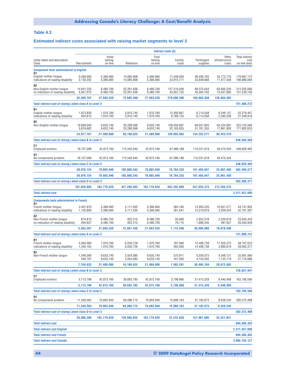#### <span id="page-45-0"></span>**Table 4.3**

#### **Estimated indirect costs associated with raising market segments to level 3**

|                                                                        |                         |                               |                          |                             | Indirect costs (\$)       |                          |                                  |                                                |
|------------------------------------------------------------------------|-------------------------|-------------------------------|--------------------------|-----------------------------|---------------------------|--------------------------|----------------------------------|------------------------------------------------|
| Initial latent and description<br>Class                                | Recruitment             | Initial<br>testing<br>on-line | Retention                | Final<br>testing<br>on-line | Facility<br>costs         | Participant<br>supplies  | Other<br>infrastructure<br>costs | <b>Total indirect</b><br>cost<br>on-line tests |
| <b>Component tests administered in English</b>                         |                         |                               |                          |                             |                           |                          |                                  |                                                |
| Α1<br>English mother tongue<br>indications of reading disability       | 9,390,605<br>3,130,202  | 5,366,060<br>5,366,060        | 14,085,908<br>14,085,908 | 5,366,060<br>5,366,060      | 71,548,000<br>33,910,771  | 38,456,763<br>33.649.668 | 35,773,776<br>11,477,426         | 179,987,172<br>106,986,094                     |
| Α2<br>Non-English mother tongue<br>no indication of reading disability | 14,841,225<br>4,947,075 | 8,480,700<br>8,480,700        | 22,261,838<br>22,261,838 | 8,480,700<br>8,480,700      | 127,210,500<br>45,937,125 | 68,375,644<br>45,583,763 | 63,605,250<br>15,547,950         | 313,255,856<br>151,239,150                     |
|                                                                        | 32,309,107              | 27,693,520                    | 72,695,490               | 27,693,520                  | 278,606,396               | 186,065,838              | 126,404,402                      |                                                |
| Total indirect cost of raising Latent class A to Level 3               |                         |                               |                          |                             |                           |                          |                                  | 751,468,272                                    |
| B1<br>English mother tongue<br>indications of reading disability       | 1.873.830<br>624,610    | 1.070.760<br>1,070,760        | 2,810,745<br>2,810,745   | 1,070,760<br>1,070,760      | 12,492,667<br>6,768,125   | 6,714,558<br>6,714,558   | 6,246,137<br>2,290,358           | 32,279,457<br>21.349.916                       |
| B2<br>Non-English mother tongue                                        | 16,859,045<br>5,619,682 | 9,633,740<br>9,633,740        | 25,288,568<br>25,288,568 | 9,633,740<br>9,633,740      | 128,450,667<br>52,183,625 | 69,041,803<br>51,781,353 | 64,224,997<br>17,661,926         | 323,132,560<br>171,802,633                     |
|                                                                        | 24,977,167              | 21,409,000                    | 56,198,625               | 21,409,000                  | 199,895,083               | 134,252,271              | 90,423,419                       |                                                |
| <b>Total indirect cost of raising Latent class B to Level 3</b>        |                         |                               |                          |                             |                           |                          |                                  | 548,564,565                                    |
| C1<br>Employed workers                                                 | 18,757,008              | 42,873,160                    | 112,542,045              | 42,873,160                  | 87,086,188                | 115,221,618              | 29,475,304                       | 448,828,482                                    |
| D1<br>No components problem                                            | 18,757,008              | 42,873,160                    | 112,542,045              | 42,873,160                  | 87,086,188                | 115,221,618              | 29,475,304                       |                                                |
| Total indirect cost of raising Latent class C to Level 3               |                         |                               |                          |                             |                           |                          |                                  | 448,828,482                                    |
|                                                                        | 30,976,724              | 70,803,940                    | 185,860,343              | 70,803,940                  | 76,704,333                | 101,485,647              | 25,961,450                       | 562,596,377                                    |
|                                                                        | 30,976,724              | 70,803,940                    | 185,860,343              | 70,803,940                  | 76,704,333                | 101,485,647              | 25,961,450                       |                                                |
| <b>Total Indirect cost of raising Latent class D to Level 3</b>        | 107,020,005             | 162,779,620                   | 427,296,503              | 162,779,620                 | 642,292,000               | 537,025,373              | 272,264,575                      | 562,596,377                                    |
| <b>Total indirect cost</b>                                             |                         |                               |                          |                             |                           |                          |                                  | 2,311,457,695                                  |
|                                                                        |                         |                               |                          |                             |                           |                          |                                  |                                                |
| <b>Components tests administered in French</b><br>A1                   |                         |                               |                          |                             |                           |                          |                                  |                                                |
| French mother tongue<br>indications of reading disability              | 3,407,670<br>1,135,890  | 5,366,060<br>5,366,060        | 5,111,505<br>5,111,505   | 5,366,060<br>5,366,060      | 584,160<br>361,641        | 13,955,220<br>12,210,818 | 10,951,277<br>3,209,423          | 44,741,952<br>32,761,397                       |
| Α2<br>Non-French mother tongue<br>no indication of reading disability  | 614,810<br>204,937      | 8,480,700<br>8,480,700        | 922,215<br>922,215       | 8,480,700<br>8,480,700      | 93,680<br>76,115          | 2,832,518<br>1,888,345   | 2,220,810<br>497,937             | 23,645,433<br>20,550,949                       |
|                                                                        | 5,363,307               | 27,693,520                    | 12,067,440               | 27,693,520                  | 1,115,596                 | 30,886,900               | 16,879,448                       |                                                |
| <b>Total Indirect cost of raising Latent class A to Level 3</b>        |                         |                               |                          |                             |                           |                          |                                  | 121,699,731                                    |
| B1<br>French mother tonque<br>indications of reading disability        | 4,020,485<br>1,340,162  | 1,070,760<br>1,070,760        | 6,030,728<br>6,030,728   | 1,070,760<br>1,070,760      | 787,680<br>262,560        | 14,406,738<br>14,406,738 | 11,320,372<br>3,880,670          | 38,707,523<br>28,062,377                       |
| B2<br>Non-French mother tongue                                         | 1,349,390<br>449,797    | 9,633,740<br>9,633,740        | 2,024,085<br>2,024,085   | 9,633,740<br>9,633,740      | 375.911<br>167,050        | 5,526,073<br>4,144,555   | 4,348,121<br>1,123,719           | 32,891,060<br>27,176,686                       |
|                                                                        | 7,159,833               | 21,409,000                    | 16,109,625               | 21,409,000                  | 1,593,201                 | 38,484,104               | 20,672,883                       |                                                |
| Total indirect cost of raising Latent class B to Level 3               |                         |                               |                          |                             |                           |                          |                                  | 126,837,647                                    |
| C1<br><b>Employed workers</b>                                          | 5,113,798               | 42,873,160                    | 30,682,785               | 42,873,160                  | 3,798,860                 | 31,413,328               | 6,440,466                        | 163,195,556                                    |
|                                                                        | 5,113,798               | 42,873,160                    | 30,682,785               | 42,873,160                  | 3,798,860                 | 31,413,328               | 6,440,466                        |                                                |
| Total indirect cost of raising Latent class C to Level 3               |                         |                               |                          |                             |                           |                          |                                  | 163, 195, 556                                  |
| D1<br>No components problem                                            | 11,349,363              | 70,803,940                    | 68,096,175               | 70,803,940                  | 15,808,163                | 37,182,673               | 8,528,245                        | 282,572,498                                    |
|                                                                        | 11,349,363              | 70,803,940                    | 68,096,175               | 70,803,940                  | 15,808,163                | 37, 182, 673             | 8,528,245                        |                                                |
| Total indirect cost of raising Latent class D to Level 3               | 28,986,300              |                               | 126,956,025              | 162,779,620                 |                           |                          | 52,521,041                       | 282,572,498                                    |
| <b>Total indirect cost</b>                                             |                         | 162,779,620                   |                          |                             | 22,315,820                | 137,967,005              |                                  | 694, 305, 432                                  |
| <b>Total indirect cost English</b>                                     |                         |                               |                          |                             |                           |                          |                                  | 2,311,457,695                                  |
| <b>Total indirect cost French</b>                                      |                         |                               |                          |                             |                           |                          |                                  | 694, 305, 432                                  |
| <b>Total indirect cost Canada</b>                                      |                         |                               |                          |                             |                           |                          |                                  | 3,005,763,127                                  |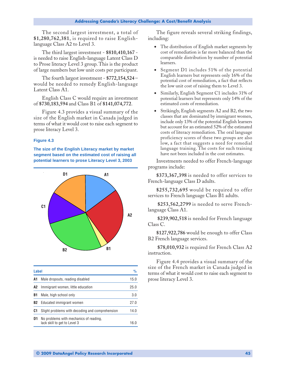<span id="page-46-0"></span>The second largest investment, a total of **\$1,280,762,381**, is required to raise Englishlanguage Class A2 to Level 3.

The third largest investment - **\$810,410,167**  is needed to raise English-language Latent Class D to Prose literacy Level 3 group. This is the product of large numbers but low unit costs per participant.

The fourth largest investment - **\$772,154,524** – would be needed to remedy English-language Latent Class A1.

English Class C would require an investment of **\$730,183,594** and Class B1 of **\$141,074,772**.

Figure 4.3 provides a visual summary of the size of the English market in Canada judged in terms of what it would cost to raise each segment to prose literacy Level 3.

#### **Figure 4.3**

**The size of the English Literacy market by market segment based on the estimated cost of raising all potential learners to prose Literacy Level 3, 2003**



| Label |                                                                        | $\frac{9}{6}$ |
|-------|------------------------------------------------------------------------|---------------|
| A1    | Male dropouts, reading disabled                                        | 15.0          |
| A2    | Immigrant women, little education                                      | 25.0          |
| B1    | Male, high school only                                                 | 3.0           |
| B2    | Educated immigrant women                                               | 27.O          |
| C1    | Slight problems with decoding and comprehension                        | 14.0          |
| D1    | No problems with mechanics of reading,<br>lack skill to get to Level 3 | 16 በ          |

The figure reveals several striking findings, including:

- The distribution of English market segments by cost of remediation is far more balanced than the comparable distribution by number of potential learners.
- Segment D1 includes 51% of the potential English learners but represents only 16% of the potential cost of remediation, a fact that reflects the low unit cost of raising them to Level 3.
- Similarly, English Segment C1 includes 31% of potential learners but represents only 14% of the estimated costs of remediation.
- Strikingly, English segments A2 and B2, the two classes that are dominated by immigrant women, include only 13% of the potential English learners but account for an estimated 52% of the estimated costs of literacy remediation. The oral language proficiency scores of these two groups are also low, a fact that suggests a need for remedial language training. The costs for such training have not been included in the cost estimates.

Investments needed to offer French-language programs include:

**\$373,367,398** is needed to offer services to French-language Class D adults.

**\$255,732,695** would be required to offer services to French language Class B1 adults.

 **\$253,562,2799** is needed to serve Frenchlanguage Class A1.

 **\$239,902,518** is needed for French language Class C.

**\$127,922,786** would be enough to offer Class B2 French language services.

 **\$78,010,932** is required for French Class A2 instruction.

Figure 4.4 provides a visual summary of the size of the French market in Canada judged in terms of what it would cost to raise each segment to prose literacy Level 3.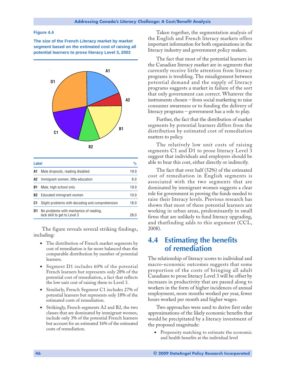#### <span id="page-47-0"></span>**Figure 4.4**

**The size of the French Literacy market by market segment based on the estimated cost of raising all potential learners to prose literacy Level 3, 2003**



| Label |                                                                        | %    |
|-------|------------------------------------------------------------------------|------|
| A1    | Male dropouts, reading disabled                                        | 19.0 |
| A2    | Immigrant women, little education                                      | 6.0  |
| B1    | Male, high school only                                                 | 19.0 |
| B2    | Educated immigrant women                                               | 10.0 |
| C1    | Slight problems with decoding and comprehension                        | 18.0 |
| D1    | No problems with mechanics of reading,<br>lack skill to get to Level 3 | 28 C |

The figure reveals several striking findings, including:

- The distribution of French market segments by cost of remediation is far more balanced than the comparable distribution by number of potential learners.
- Segment D1 includes 60% of the potential French learners but represents only 28% of the potential cost of remediation, a fact that reflects the low unit cost of raising them to Level 3.
- Similarly, French Segment C1 includes 27% of potential learners but represents only 18% of the estimated costs of remediation.
- Strikingly, French segments A2 and B2, the two classes that are dominated by immigrant women, include only 3% of the potential French learners but account for an estimated 16% of the estimated costs of remediation.

Taken together, the segmentation analysis of the English and French literacy markets offers important information for both organizations in the literacy industry and government policy makers.

The fact that most of the potential learners in the Canadian literacy market are in segments that currently receive little attention from literacy programs is troubling. The misalignment between potential demand and the supply of literacy programs suggests a market in failure of the sort that only government can correct. Whatever the instruments chosen – from social marketing to raise consumer awareness or to funding the delivery of literacy programs – government has a role to play.

Further, the fact that the distribution of market segments by potential learners differs from the distribution by estimated cost of remediation matters to policy.

The relatively low unit costs of raising segments C1 and D1 to prose literacy Level 3 suggest that individuals and employers should be able to bear this cost, either directly or indirectly.

The fact that over half (52%) of the estimated cost of remediation in English segments is associated with the two segments that are dominated by immigrant women suggests a clear role for government in proving the funds needed to raise their literacy levels. Previous research has shown that most of these potential learners are working in urban areas, predominantly in small firms that are unlikely to fund literacy upgrading, and thatfinding adds to this argument (CCL, 2008).

### **4.4 Estimating the benefits of remediation**

The relationship of literacy scores to individual and macro-economic outcomes suggests that some proportion of the costs of bringing all adult Canadians to prose literacy Level 3 will be offset by increases in productivity that are passed along to workers in the form of higher incidences of annual employment, more months worked per year, fewer hours worked per month and higher wages.

Two approaches were used to derive first order approximations of the likely economic benefits that would be precipitated by a literacy investment of the proposed magnitude:

• Propensity matching to estimate the economic and health benefits at the individual level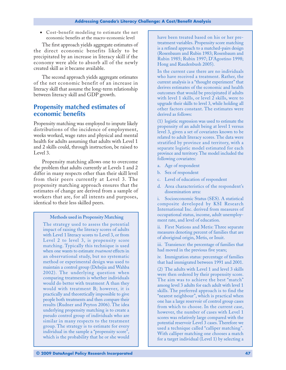• Cost-benefit modeling to estimate the net economic benefits at the macro-economic level

The first approach yields aggregate estimates of the direct economic benefits likely to be precipitated by an increase in literacy skill if the economy were able to absorb all of the newly created skill as it became available.

The second approach yields aggregate estimates of the net economic benefit of an increase in literacy skill that assume the long-term relationship between literacy skill and GDP growth.

### **Propensity matched estimates of economic benefits**

Propensity matching was employed to impute likely distributions of the incidence of employment, weeks worked, wage rates and physical and mental health for adults assuming that adults with Level 1 and 2 skills could, through instruction, be raised to Level 3.

Propensity matching allows one to overcome the problem that adults currently at Levels 1 and 2 differ in many respects other than their skill level from their peers currently at Level 3. The propensity matching approach ensures that the estimates of change are derived from a sample of workers that are, for all intents and purposes, identical to their less skilled peers.

#### **Methods used in Propensity Matching**

The strategy used to assess the potential impact of raising the literacy scores of adults with Level 1 literacy scores to Level 3, or from Level 2 to level 3, is propensity score matching. Typically this technique is used when one wants to estimate *treatment* effects in an observational study, but no systematic method or experimental design was used to maintain a control group (Dehejia and Wahba 2002). The underlying question when comparing treatments is whether individuals would do better with treatment A than they would with treatment B; however, it is practically and theoretically impossible to give people both treatments and then compare their results (Rudner and Peyton 2006). The idea underlying propensity matching is to create a pseudo control group of individuals who are similar in many respects to the treatment group. The strategy is to estimate for every individual in the sample a "propensity score", which is the probability that he or she would

have been treated based on his or her pretreatment variables. Propensity score matching is a refined approach to a matched-pairs design (Rosenbaum and Rubin 1983; Rosenbaum and Rubin 1985; Rubin 1997; D'Agostino 1998; Hong and Raudenbush 2005).

In the current case there are no individuals who have received a treatment. Rather, the current analysis is a "thought experiment" that derives estimates of the economic and health outcomes that would be precipitated if adults with level 1 skills, or level 2 skills, were to upgrade their skills to level 3, while holding all other factors constant. The estimates were derived as follows:

(1) logistic regression was used to estimate the propensity of an adult being at level 1 versus level 3, given a set of covariates known to be related to adult literacy scores. The data were stratified by province and territory, with a separate logistic model estimated for each province and territory. The model included the following covariates:

- a. Age of respondent
- b. Sex of respondent
- c. Level of education of respondent
- d. Area characteristics of the respondent's dissemination area:

i. Socioeconomic Status (SES). A statistical composite developed by KSI Research International Inc. derived from measures of occupational status, income, adult unemployment rate, and level of education.

ii. First Nations and Metis: Three separate measures denoting percent of families that are of aboriginal origin, Metis, or Inuit.

iii. Transience: the percentage of families that had moved in the previous five years;

iv. Immigration status: percentage of families that had immigrated between 1991 and 2001. (2) The adults with Level 1 and level 3 skills were then ordered by their propensity score. The aim was to achieve the best "match" among level 3 adults for each adult with level 1 skills. The preferred approach is to find the "nearest neighbour", which is practical when one has a large reservoir of control group cases from which to choose. In the current case, however, the number of cases with Level 1 scores was relatively large compared with the potential reservoir Level 3 cases. Therefore we used a technique called "calliper matching". With calliper matching one chooses a match for a target individual (Level 1) by selecting a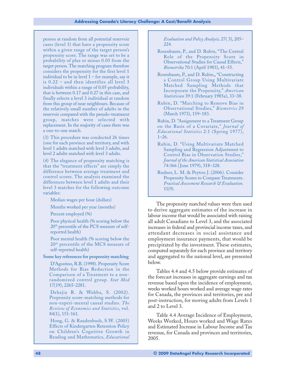person at random from all potential reservoir cases (level 3) that have a propensity score within a given range of the target person's propensity score. The range was set to be a probability of plus or minus 0.05 from the target person. The matching program therefore considers the propensity for the first level 1 individual to be in level  $1$  – for example, say it is 0.22 – and then identifies all level 3 individuals within a range of 0.05 probability, that is between 0.17 and 0.27 in this case, and finally selects a level 3 individual at random from this group of near neighbours. Because of the relatively small number of adults in the reservoir compared with the pseudo-treatment group, matches were selected with replacement. In the majority of cases there was a one-to-one match.

(3) This procedure was conducted 26 times (one for each province and territory, and with level 1 adults matched with level 3 adults, and level 2 adults matched with level 3 adults.

(4) The elegance of propensity matching is that the "treatment effects" are simply the difference between average treatment and control scores. The analysis examined the differences between level 1 adults and their level 3 matches for the following outcome variables:

Median wages per hour (dollars)

Months worked per year (months)

Percent employed (%)

Poor physical health (% scoring below the 20th percentile of the PCS measure of selfreported health)

Poor mental health (% scoring below the 20<sup>th</sup> percentile of the MCS measure of self-reported health)

**Some key references for propensity matching**

D'Agostino, R.B. (1998). Propensity Score Methods for Bias Reduction in the Comparison of a Treatment to a nonrandomized control group. *Stat Med* 17(19), 2265-2281.

Dehejia R. & Wahba, S. (2002). Propensity score-matching methods for non-experi-mental causal studies. *The Review of Economics and Statistics*, vol. 84(1), 151-161.

Hong, G. & Raudenbush, S.W. (2005) Effects of Kindergarten Retention Policy on Children's Cognitive Growth in Reading and Mathematics, *Educational*

*Evaluation and Policy Analysis,* 27( 3), 205– 224.

- Rosenbaum, P., and D. Rubin, "The Central Role of the Propensity Score in Observational Studies for Causal Effects," *Biometrika* 70:1 (April 1983), 41–55.
- Rosenbaum, P., and D. Rubin,, "Constructing a Control Group Using Multivariate Matched Sampling Methods that Incorporate the Propensity," *American Statistician* 39:1 (February 1985a), 33–38.
- Rubin, D. "Matching to Remove Bias in Observational Studies," *Biometrics* 29 (March 1973), 159–183.

Rubin, D. "Assignment to a Treatment Group on the Basis of a Covariate," *Journal of Educational Statistics* 2:1 (Spring 1977), 1–26.

- Rubin, D. "Using Multivariate Matched Sampling and Regression Adjustment to Control Bias in Observation Studies," *Journal of the American Statistical Association* 74:366 ( June 1979), 318–328.
- Rudner, L. M. & Peyton J. (2006). Consider Propensity Scores to Compare Treatments. *Practical Assessment Research & Evaluation.* 11(9).

The propensity matched values were then used to derive aggregate estimates of the increase in labour income that would be associated with raising all adult Canadians to Level 3, and the associated increases in federal and provincial income taxes, and attendant decreases in social assistance and employment insurance payments, that would be precipitated by the investment. These estimates, computed separately for each province and territory and aggregated to the national level, are presented below.

Tables 4.4 and 4.5 below provide estimates of the forecast increases in aggregate earnings and tax revenue based upon the incidence of employment, weeks worked hours worked and average wage rates for Canada, the provinces and territories, pre and post-instruction, for moving adults from Levels 1 and 2 to Level 3.

Table 4.4 Average Incidence of Employment, Weeks Worked, Hours worked and Wage Rates and Estimated Increase in Labour Income and Tax revenue, for Canada and provinces and territories, 2005.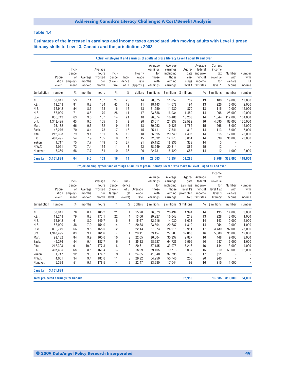#### <span id="page-50-0"></span>**Table 4.4**

**Estimates of the increase in earnings and income taxes associated with moving adults with Level 1 prose literacy skills to Level 3, Canada and the jurisdictions 2003**

|               |                            |                                         |                             |                                            |                                   |                         |                                     |                                                         | Actual employment and earnings of adults at prose literacy Level 1 aged 16 and over |                                            |                                                                  |                                                       |                                     |                                |
|---------------|----------------------------|-----------------------------------------|-----------------------------|--------------------------------------------|-----------------------------------|-------------------------|-------------------------------------|---------------------------------------------------------|-------------------------------------------------------------------------------------|--------------------------------------------|------------------------------------------------------------------|-------------------------------------------------------|-------------------------------------|--------------------------------|
|               | Popu-<br>lation<br>level 1 | Inci-<br>dence<br>0f<br>employ-<br>ment | Average<br>months<br>worked | Average<br>hours<br>worked<br>per<br>month | Inci-<br>dence<br>of wel-<br>fare | Inci-<br>dence<br>of El | Hourly<br>wage<br>rate<br>(approx.) | Average<br>earnings<br>for<br>those<br>with<br>earnings | Average<br>earnings<br>including<br>those<br>with no<br>earnings                    | Aggre-<br>gate<br>ear-<br>nings<br>level 1 | Average<br>federal<br>and pro-<br>vincial<br>income<br>tax rates | Current<br>income<br>tax<br>revenue<br>for<br>level 1 | Number<br>with<br>welfare<br>income | Number<br>with<br>EI<br>income |
| Jurisdiction  | number                     | $\frac{0}{0}$                           | months                      | hours                                      | $\frac{0}{0}$                     | $\frac{0}{0}$           | dollars                             | \$ millions                                             | \$ millions                                                                         | \$ millions                                | $\frac{0}{0}$                                                    | \$ millions                                           | number                              | number                         |
| N.L.          | 68,041                     | 53                                      | 7.1                         | 187                                        | 27                                | 25                      | 14                                  | 20,675                                                  | 11,057                                                                              | 752                                        | 13                                                               | 100                                                   | 19,000                              | 17,000                         |
| P.E.I.        | 13,248                     | 81                                      | 8.2                         | 184                                        | 43                                | 13                      | 11                                  | 18,143                                                  | 14,678                                                                              | 194                                        | 13                                                               | \$26                                                  | 6,000                               | 2,000                          |
| N.S.          | 72,942                     | 54                                      | 8.5                         | 158                                        | 16                                | 16                      | 13                                  | 21,950                                                  | 11,930                                                                              | 870                                        | 13                                                               | 115                                                   | 12,000                              | 12,000                         |
| N.B.          | 87,920                     | 71                                      | 8.5                         | 170                                        | 28                                | 11                      | 17                                  | 23,888                                                  | 16,934                                                                              | 1,489                                      | 14                                                               | 208                                                   | 25,000                              | 10,000                         |
| Que.          | 800,749                    | 63                                      | 9.0                         | 157                                        | 14                                | 21                      | 18                                  | 26,074                                                  | 16,488                                                                              | 13,203                                     | 14                                                               | 1,844                                                 | 112,000                             | 164,000                        |
| Ont.          | 1,348,495                  | 65                                      | 9.6                         | 165                                        | 6                                 | 9                       | 20                                  | 33,611                                                  | 21,937                                                                              | 29,582                                     | 16                                                               | 4,690                                                 | 83,000                              | 120,000                        |
| Man.          | 93,182                     | 66                                      | 9.6                         | 162                                        | 9                                 | 16                      | 18                                  | 29,052                                                  | 19,125                                                                              | 1,782                                      | 15                                                               | 268                                                   | 8,000                               | 15,000                         |
| Sask.         | 46,276                     | 70                                      | 8.4                         | 178                                        | 17                                | 16                      | 15                                  | 25,111                                                  | 17,541                                                                              | 812                                        | 14                                                               | 113                                                   | 8,000                               | 7,000                          |
| Alta.         | 212,393                    | 79                                      | 9.1                         | 161                                        | 8                                 | 12                      | 18                                  | 26,395                                                  | 20,740                                                                              | 4,405                                      | 14                                                               | 615                                                   | 17,000                              | 26,000                         |
| B.C.          | 407,495                    | 54                                      | 7.9                         | 165                                        | 9                                 | 18                      | 15                                  | 22,632                                                  | 12,273                                                                              | 5,001                                      | 14                                                               | 699                                                   | 38,000                              | 73,000                         |
| Yukon         | 1,717                      | 75                                      | 7.7                         | 149                                        | 13                                | 27                      | 21                                  | 25,152                                                  | 18,936                                                                              | \$33                                       | 14                                                               | 5                                                     |                                     |                                |
| N.W.T.        | 4,051                      | 72                                      | 7.4                         | 164                                        | 11                                | 8                       | 22                                  | 28,249                                                  | 20,314                                                                              | \$82                                       | 15                                                               | 12                                                    |                                     |                                |
| Nunavut       | 5,389                      | 68                                      | 7.7                         | 161                                        | 10                                | 36                      | 20                                  | 22,731                                                  | 15,429                                                                              | \$83                                       | 14                                                               | 12                                                    | 1,000                               | 2,000                          |
| <b>Canada</b> | 3,161,899                  | 64                                      | 9.0                         | 163                                        | 10                                | 14                      | 18                                  | 28,503                                                  | 18,254                                                                              | 58,288                                     |                                                                  | 8,708                                                 | 329,000                             | 448,000                        |

**Projected employment and earnings of adults at prose literacy Level 1 who move to Level 3 aged 16 and over**

|               |                                            |               |                   |                 |                  |          |               |              |                    |                       |                   | Income            |                |                |
|---------------|--------------------------------------------|---------------|-------------------|-----------------|------------------|----------|---------------|--------------|--------------------|-----------------------|-------------------|-------------------|----------------|----------------|
|               |                                            |               |                   |                 |                  |          |               | Average      | Average            | Aggre-                | Average           | tax               |                |                |
|               |                                            | Inci-         |                   | Average         | Inci-            | Inci-    |               | earnings     | earnings           | gate                  | federal           | revenue           |                |                |
|               | Popu-                                      | dence<br>0f   |                   | hours<br>worked | dence<br>of wel- | dence    | of El Average | for<br>those | including<br>those | earnings<br>level 1's | and pro-          | for<br>level 1 at | Number<br>with | Number<br>with |
|               | lation                                     | employ-       | Average<br>months | per             | fare(at          | (at      | wage          | with         | with no            | promoted              | vincial<br>income | level 3           | welfare        | EI             |
|               | level 1                                    | ment          | worked            | month           | level 3)         | level 3) | rate          | earnings     | earnings           |                       | to 3 tax rates    | literacy          | income         | income         |
| Jurisdiction  | number                                     | $\frac{0}{0}$ | months            | hours           | $\frac{0}{0}$    | $\%$     | dollars       | \$ millions  | \$ millions        | \$ millions           | $\%$              | \$ millions       | number         | number         |
| N.L.          | 68,041                                     | 78            | 8.4               | 186.2           | 21               | 4        | 15.20         | 26,373       | 20,494             | 1,394                 | 14                | 195               | 14,000         | 3,000          |
| P.E.I.        | 13,248                                     | 79            | 8.3               | 176.1           | 22               | 4        | 13.06         | 20,227       | 16,043             | 213                   | 13                | \$28              | 3,000          | 1,000          |
| N.S.          | 72,942                                     | 61            | 8.0               | 149.7           | 16               | 3        | 15.67         | 22,916       | 14,030             | 1,023                 | 14                | 143               | 12,000         | 2,000          |
| N.B.          | 87,920                                     | 88            | 7.9               | 154.0           | 14               | 2        | 20.38         | 23,504       | 20,687             | 1,819                 | 14                | 254               | 12,000         | 1,000          |
| Que.          | 800,749                                    | 66            | 9.8               | 168.5           | 12               | 3        | 22.14         | 37,973       | 24,915             | 19,951                | 17                | 3,430             | 97,000         | 25,000         |
| Ont.          | 1,348,495                                  | 83            | 9.4               | 161.6           | $\overline{7}$   |          | 20.11         | 33,157       | 27,500             | 37,083                | 16                | 5,880             | 95,000         | 12,000         |
| Man.          | 93,182                                     | 84            | 9.9               | 160.6           | 10               | 3        | 22.05         | 36,004       | 30,337             | 2,827                 | 16                | 448               | 9,000          | 3,000          |
| Sask.         | 46,276                                     | 94            | 9.4               | 187.7           | 6                | 3        | 35.12         | 68,927       | 64,726             | 2,995                 | 20                | 587               | 3,000          | 1,000          |
| Alta.         | 212,393                                    | 91            | 10.0              | 177.3           | 6                | 2        | 20.81         | 37,185       | 33,975             | 7,216                 | 16                | 1,144             | 13,000         | 4,000          |
| B.C.          | 407,495                                    | 68            | 8.5               | 161.4           | 13               | 3        | 18.99         | 29,105       | 19,716             | 8,034                 | 15                | 1,210             | 53,000         | 12,000         |
| Yukon         | 1,717                                      | 92            | 9.3               | 174.7           | 9                | 4        | 24.65         | 41,040       | 37,738             | 65                    | 17                | \$11              |                |                |
| N.W.T.        | 4,051                                      | 94            | 9.4               | 185.6           | 11               | 3        | 29.92         | 54,250       | 50,746             | 206                   | 20                | \$40              |                |                |
| Nunavut       | 5,389                                      | 51            | 9.1               | 178.5           | 14               | 8        | 22.47         | 33,680       | 17,044             | 92                    | 16                | \$15              | 1,000          | ٠              |
| <b>Canada</b> | 3,161,899                                  |               |                   |                 |                  |          |               |              |                    |                       |                   |                   |                |                |
|               | <b>Total projected earnings for Canada</b> |               |                   |                 |                  |          |               |              |                    | 82,918                |                   | 13,385            | 312,000        | 64,000         |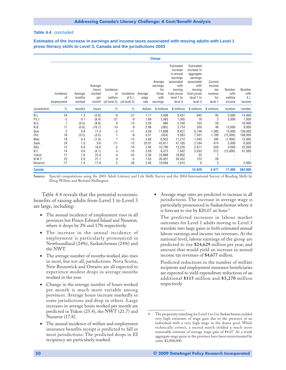#### **Table 4.4** concluded

**Estimates of the increase in earnings and income taxes associated with moving adults with Level 1 prose literacy skills to Level 3, Canada and the jurisdictions 2003**

|               |                               |                             |                                            |                                            |                                      |                         | <b>Change</b>                                           |                                                                                                                       |                                                                                                                          |                                                       |                                     |                                  |
|---------------|-------------------------------|-----------------------------|--------------------------------------------|--------------------------------------------|--------------------------------------|-------------------------|---------------------------------------------------------|-----------------------------------------------------------------------------------------------------------------------|--------------------------------------------------------------------------------------------------------------------------|-------------------------------------------------------|-------------------------------------|----------------------------------|
|               | Incidence<br>0f<br>employment | Average<br>months<br>worked | Average<br>hours<br>worked<br>per<br>month | Incidence<br>οf<br>welfare<br>(at level 3) | Incidence<br>of E.I.<br>(at level 3) | Average<br>wage<br>rate | Average<br>earnings<br>for<br>those<br>with<br>earnings | Estimated<br>increase<br>in annual<br>earnings<br>associated<br>with<br>moving<br>from prose<br>level 1 to<br>level 3 | Estimated<br>increase in<br>aggregate<br>earnings<br>associated<br>with<br>moving<br>from prose<br>level 1 to<br>level 3 | Current<br>income<br>tax<br>revenue<br>for<br>level 1 | Number<br>with<br>welfare<br>income | Number<br>with<br>E.I.<br>income |
| Jurisdiction  | $\frac{0}{0}$                 | months                      | hours                                      | $\%$                                       | $\%$                                 | dollars                 | \$ millions                                             | \$ millions                                                                                                           | \$ millions                                                                                                              | \$ millions                                           | number                              | number                           |
| N.L.          | 24                            | 1.3                         | (0.8)                                      | -6                                         | $-21$                                | 1.17                    | 5,698                                                   | 9,437                                                                                                                 | 642                                                                                                                      | 95                                                    | 5,000                               | 14,000                           |
| P.E.I.        | $-2$                          | 0.1                         | (8.4)                                      | $-21$                                      | $-9$                                 | 1.69                    | 2,085                                                   | 1,365                                                                                                                 | 18                                                                                                                       | 2                                                     | 3,000                               | 1,000                            |
| N.S.          | $\overline{7}$                | (0.5)                       | (8.8)                                      | 0                                          | $-13$                                | 2.26                    | 966                                                     | 2,100                                                                                                                 | 153                                                                                                                      | 28                                                    |                                     | 10,000                           |
| N.B.          | 17                            | (0.6)                       | (16.1)                                     | $-14$                                      | -9                                   | 2.98                    | (385)                                                   | 3,754                                                                                                                 | 330                                                                                                                      | 46                                                    | 13,000                              | 9,000                            |
| Que.          | $\overline{2}$                | 0.8                         | 11.4                                       | $-2$                                       | $-17$                                | 4.39                    | 11,898                                                  | 8,427                                                                                                                 | 6,748                                                                                                                    | 1,585                                                 | 15,000                              | 139,000                          |
| Ont.          | 18                            | (0.2)                       | (3.5)                                      |                                            | -8                                   | 0.51                    | (454)                                                   | 5,563                                                                                                                 | 7,501                                                                                                                    | 1,189                                                 | (12,000)                            | 108,000                          |
| Man.          | 18                            | 0.4                         | (1.0)                                      |                                            | $-12$                                | 3.68                    | 6,952                                                   | 11,212                                                                                                                | 1,045                                                                                                                    | 180                                                   | (1,000)                             | 12,000                           |
| Sask.         | 24                            | 1.0                         | 9.6                                        | $-11$                                      | $-13$                                | 20.07                   | 43,817                                                  | 47,185                                                                                                                | 2,184                                                                                                                    | 474                                                   | 5,000                               | 6,000                            |
| Alta.         | 13                            | 0.9                         | 16.6                                       | $-2$                                       | $-10$                                | 2.94                    | 10,790                                                  | 13,235                                                                                                                | 2,811                                                                                                                    | 529                                                   | 4,000                               | 22,000                           |
| B.C.          | 14                            | 0.6                         | (4.1)                                      | 4                                          | $-15$                                | 3.59                    | 6,473                                                   | 7,442                                                                                                                 | 3,033                                                                                                                    | 512                                                   | (15,000)                            | 61,000                           |
| Yukon         | 17                            | 1.6                         | 25.4                                       | -4                                         | $-23$                                | 3.36                    | 15,888                                                  | 18,802                                                                                                                | 32                                                                                                                       | $\overline{7}$                                        |                                     |                                  |
| N.W.T.        | 22                            | 2.0                         | 21.7                                       | 0                                          | $-5$                                 | 7.53                    | 26,001                                                  | 30,432                                                                                                                | 123                                                                                                                      | 28                                                    |                                     |                                  |
| Nunavut       | $-17$                         | 1.4                         | 17.8                                       | 5                                          | $-28$                                | 2.46                    | 10,949                                                  | 1,615                                                                                                                 | 9                                                                                                                        | 3                                                     |                                     | 2,000                            |
| <b>Canada</b> |                               |                             |                                            |                                            |                                      |                         |                                                         |                                                                                                                       | 24,629                                                                                                                   | 4,677                                                 | 17,000                              | 384,000                          |

**Source:** Special computations using the 2003 Adult Literacy and Life Skills Survey and the 2004 International Survey of Reading Skills by Doug Willms and Richard Shillington

Table 4.4 reveals that the potential economic benefits of raising adults from Level 1 to Level 3 are large, including:

- The annual incidence of employment rises in all provinces but Prince Edward Island and Nunavut, where it drops by 2% and 17% respectively.
- The increase in the annual incidence of employment is particularly pronounced in Newfoundland (24%), Saskatchewan (24%) and the NWT.
- The average number of months worked also rises in most, but not all, jurisdictions. Nova Scotia, New Brunswick and Ontario are all expected to experience modest drops in average months worked in the year.
- Change in the average number of hours worked per month is much more variable among provinces. Average hours increase markedly in some jurisdictions and drop in others. Large increases in average hours worked per month are predicted in Yukon (25.4), the NWT (21.7) and Nunavut (17.8).
- The annual incidence of welfare and employment insurance benefits receipt is predicted to fall in most jurisdictions. The predicted drops in EI recipiency are particularly marked.

• Average wage rates are predicted to increase in all jurisdictions. The increase in average wage is particularly pronounced in Saskatchewan where it is forecast to rise by \$20.07 an hour.4

The predicted increases in labour market outcomes for Level 1 adults moving to Level 3 translate into large gains in both estimated annual labour earnings and income tax revenues. At the national level, labour earnings of the group are predicted to rise **\$24,629** million per year, and amount that would yield an increase in annual income tax revenues of **\$4,677** million.

Predicted reductions in the number of welfare recipients and employment insurance beneficiaries are expected to yield expenditure reductions of an additional **\$115** million and **\$3,270** million respectively.

The propensity matching for Level 1 to 3 in Saskatchewan yielded very high estimates of wage gain due to the presence of an individual with a very high wage in the donor pool. While technically correct, a second match yielded a much more reasonable estimate of average wage gain of \$4.07. As a result aggregate wage gains in the province have been overestimated by some \$2,000,000.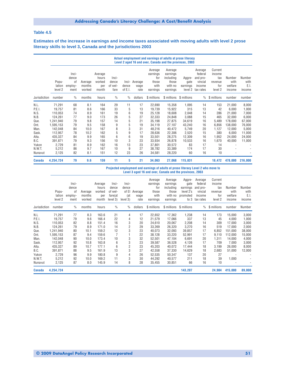#### **Table 4.5**

**Estimates of the increase in earnings and income taxes associated with moving adults with level 2 prose literacy skills to level 3, Canada and the jurisdictions 2003**

|                         | Actual employment and earnings of adults at prose literacy<br>Level 2 aged 16 and over, Canada and the provinces, 2003 |                                         |                             |                                            |                                   |                           |                         |                                                         |                                                                  |                                       |                                                                  |                                                       |                                     |                                  |
|-------------------------|------------------------------------------------------------------------------------------------------------------------|-----------------------------------------|-----------------------------|--------------------------------------------|-----------------------------------|---------------------------|-------------------------|---------------------------------------------------------|------------------------------------------------------------------|---------------------------------------|------------------------------------------------------------------|-------------------------------------------------------|-------------------------------------|----------------------------------|
|                         | Popu-<br>lation<br>level 2                                                                                             | Inci-<br>dence<br>0f<br>employ-<br>ment | Average<br>months<br>worked | Average<br>hours<br>worked<br>per<br>month | Inci-<br>dence<br>of wel-<br>fare | Inci-<br>dence<br>of E.I. | Average<br>wage<br>rate | Average<br>earnings<br>for<br>those<br>with<br>earnings | Average<br>earnings<br>including<br>those<br>with no<br>earnings | Aggre-<br>gate<br>earnings<br>level 2 | Average<br>federal<br>and pro-<br>vincial<br>income<br>tax rates | Current<br>income<br>tax<br>revenue<br>for<br>level 2 | Number<br>with<br>welfare<br>income | Number<br>with<br>E.I.<br>income |
| Jurisdiction            | number                                                                                                                 | $\frac{0}{0}$                           | months                      | hours                                      | $\%$                              | $\frac{0}{0}$             | dollars                 | \$ millions                                             |                                                                  | \$ millions \$ millions               | $\%$                                                             | \$ millions                                           | number                              | number                           |
| N.L.<br>P.E.I.          | 71,291<br>19,757                                                                                                       | 68<br>81                                | 8.1<br>8.6                  | 164<br>166                                 | 29<br>33                          | 11<br>5                   | 17<br>13                | 22,690<br>19,739                                        | 15,358<br>15,922                                                 | 1,095<br>315                          | 14<br>13                                                         | 153<br>42                                             | 21,000<br>6,000                     | 8,000<br>1,000                   |
| N.S.<br>N.B.            | 110,053<br>124,261                                                                                                     | 74<br>77                                | 8.9<br>9.0                  | 161<br>173                                 | 19<br>26                          | 6<br>5                    | 19<br>27                | 25,128<br>32,333                                        | 18,608<br>24,848                                                 | 2,048<br>3,088                        | 14<br>15                                                         | 286<br>465                                            | 21,000<br>32,000                    | 7,000<br>6,000                   |
| Que.                    | 1,241,940                                                                                                              | 79                                      | 9.8                         | 157                                        | 14                                | 5                         | 21                      | 35,198                                                  | 27,875                                                           | 34,619                                | 16                                                               | 5,489                                                 | 178,000                             | 67,000                           |
| Ont.<br>Man.            | 1,595,153<br>142,048                                                                                                   | 79<br>84                                | 9.5<br>10.0                 | 158<br>167                                 | 9<br>8                            | 5<br>3                    | 19<br>31                | 34,119<br>48,216                                        | 27,107<br>40.472                                                 | 43,240<br>5,749                       | 16<br>20                                                         | 6,856<br>1,127                                        | 138.000<br>12.000                   | 76,000<br>5,000                  |
| Sask.<br>Alta.          | 112,957<br>435,327                                                                                                     | 78<br>84                                | 10.2<br>9.9                 | 162<br>165                                 | 5<br>6                            | 9<br>6                    | 17<br>19                | 28,636<br>33,501                                        | 22,306<br>28,275                                                 | 2,520<br>12,309                       | 15<br>16                                                         | 380<br>1,952                                          | 6,000<br>24,000                     | 11,000<br>24,000                 |
| B.C.<br>Yukon<br>N.W.T. | 391,871<br>2,729<br>5,212                                                                                              | 79<br>81<br>86                          | 9.3<br>8.9<br>9.7           | 156<br>162<br>167                          | 10<br>16<br>10                    | 3<br>13<br>9              | 23<br>23<br>27          | 33,934<br>37,801                                        | 26,878<br>30,572<br>33,389                                       | 10,533<br>83<br>174                   | 16<br>17<br>17                                                   | 1,670<br>14<br>30                                     | 40,000                              | 11,000                           |
| Nunavut                 | 2,125                                                                                                                  | 82                                      | 8.1                         | 151                                        | 12                                | 23                        | 26                      | 38,782<br>34,581                                        | 28,220                                                           | 60                                    | 16                                                               | 10                                                    |                                     |                                  |
| Canada                  | 4,254,724                                                                                                              | 79                                      | 9.6                         | 159                                        | 11                                | 5                         | 21                      | 34,063                                                  | 27,068                                                           | 115,831                               |                                                                  | 18,472                                                | 478,000                             | 216,000                          |

#### **Projected employment and earnings of adults at prose literacy Level 2 who move to Level 3 aged 16 and over, Canada and the provinces, 2003**

|               | Popu-<br>lation<br>level 2 | Inci-<br>dence<br>0f<br>employ-<br>ment | Average<br>months<br>worked | Average<br>hours<br>worked<br>per<br>month | Inci-<br>dence<br>of wel-<br>fare(at<br>level 3) | Inci-<br>dence<br>of El<br>(at<br>level 3) | Average<br>wage<br>rate | Average<br>earnings<br>for<br>those<br>with<br>earnings | Average<br>earnings<br>including<br>those<br>with no<br>earnings | Aggre-<br>gate<br>earnings<br>level 2's<br>promoted<br>to 3 | Average<br>federal<br>and pro-<br>vincial<br>income<br>tax rates | Current<br>income<br>tax<br>revenue<br>for<br>level 2 | Number<br>with<br>welfare<br>income | Number<br>with<br>E.I<br>income |
|---------------|----------------------------|-----------------------------------------|-----------------------------|--------------------------------------------|--------------------------------------------------|--------------------------------------------|-------------------------|---------------------------------------------------------|------------------------------------------------------------------|-------------------------------------------------------------|------------------------------------------------------------------|-------------------------------------------------------|-------------------------------------|---------------------------------|
| Jurisdiction  | number                     | $\frac{0}{0}$                           | months                      | hours                                      | $\frac{0}{0}$                                    | $\frac{0}{0}$                              | dollars                 | \$ millions                                             |                                                                  | \$ millions \$ millions                                     | $\%$                                                             | \$ millions                                           | number                              | Number                          |
| N.L           | 71,291                     | 77                                      | 8.3                         | 163.6                                      | 21                                               | 4                                          | 17                      | 22,652                                                  | 17,362                                                           | 1,238                                                       | 14                                                               | 173                                                   | 15,000                              | 3,000                           |
| P.E.I.        | 19,757                     | 79                                      | 9.6                         | 166.4                                      | 22                                               | 4                                          | 12                      | 21,579                                                  | 17,066                                                           | 337                                                         | 13                                                               | 45                                                    | 4,000                               | 1,000                           |
| N.S.          | 110,053                    | 82                                      | 8.8                         | 151.4                                      | 16                                               | 3                                          | 20                      | 24,610                                                  | 20,067                                                           | 2,208                                                       | 14                                                               | 309                                                   | 17,000                              | 3,000                           |
| N.B.          | 124,261                    | 79                                      | 8.9                         | 171.0                                      | 14                                               | 2                                          | 29                      | 33,269                                                  | 26,320                                                           | 3,270                                                       | 16                                                               | 519                                                   | 17,000                              | 2,000                           |
| Que.          | 1,241,940                  | 80                                      | 10.1                        | 159.2                                      | 12                                               | 3                                          | 23                      | 40,073                                                  | 32,093                                                           | 39,857                                                      | 17                                                               | 6,852                                                 | 151,000                             | 38,000                          |
| Ont.          | 1,595,153                  | 87                                      | 9.4                         | 159.6                                      |                                                  |                                            | 22                      | 38,128                                                  | 33,220                                                           | 52,991                                                      | 17                                                               | 9,110                                                 | 112,000                             | 15,000                          |
| Man.          | 142,048                    | 90                                      | 10.0                        | 173.4                                      | 10                                               | 3                                          | 32                      | 52,501                                                  | 47,104                                                           | 6,691                                                       | 20                                                               | 1,311                                                 | 14.000                              | 4,000                           |
| Sask.         | 112,957                    | 92                                      | 10.8                        | 163.8                                      | 6                                                | 3                                          | 23                      | 39,587                                                  | 36,528                                                           | 4,126                                                       | 17                                                               | 709                                                   | 7,000                               | 3,000                           |
| Alta.         | 435,327                    | 89                                      | 10.7                        | 177.1                                      | 6                                                | 2                                          | 23                      | 45,203                                                  | 40,072                                                           | 17,444                                                      | 18                                                               | 3,199                                                 | 26,000                              | 8,000                           |
| B.C.          | 391,871                    | 88                                      | 9.5                         | 161.9                                      | 13                                               | 3                                          | 27                      | 42,558                                                  | 37,330                                                           | 14,629                                                      | 18                                                               | 2,683                                                 | 51,000                              | 12,000                          |
| Yukon         | 2,729                      | 96                                      | 9.9                         | 180.8                                      | 9                                                | 4                                          | 26                      | 52,535                                                  | 50,347                                                           | 137                                                         | 20                                                               | 27                                                    |                                     |                                 |
| N.W.T.        | 5,212                      | 92                                      | 10.0                        | 169.2                                      | 11                                               | 3                                          | 30                      | 44,292                                                  | 40,577                                                           | 211                                                         | 18                                                               | 39                                                    | 1,000                               |                                 |
| Nunavut       | 2,125                      | 87                                      | 8.0                         | 145.9                                      | 14                                               | 8                                          | 28                      | 35,455                                                  | 30,851                                                           | 66                                                          | 16                                                               | 10                                                    |                                     |                                 |
| <b>Canada</b> | 4,254,724                  |                                         |                             |                                            |                                                  |                                            |                         |                                                         |                                                                  | 143,207                                                     |                                                                  | 24,984                                                | 415,000                             | 89,000                          |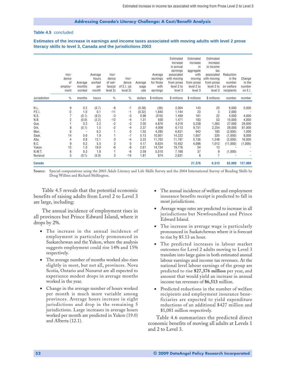#### <span id="page-53-0"></span>**Table 4.5** concluded

**Estimates of the increase in earnings and income taxes associated with moving adults with level 2 prose literacy skills to level 3, Canada and the jurisdictions 2003**

|               |               |                          |         |               |               |         |             | Estimated   | Estimated   | Estimated   |            |                          |
|---------------|---------------|--------------------------|---------|---------------|---------------|---------|-------------|-------------|-------------|-------------|------------|--------------------------|
|               |               |                          |         |               |               |         |             | increase    | increase    | increase    |            |                          |
|               |               |                          |         |               |               |         |             | in annual   | in          | in income   |            |                          |
|               |               |                          |         |               |               |         |             | earnings    | aggregate   | tax         |            |                          |
|               | Inci-         |                          | Average | Inci-         |               |         | Average     | associated  | with        | associated  | Reduction  |                          |
|               | dence         |                          | hours   | dence         | Inci-         |         | earnings    | with moving | moving      | with moving | in the     | Change                   |
|               | 0f            | Average                  | worked  | of wel-       | dence         | Average | for those   | from prose  | from prose  | from prose  | number     | in the                   |
|               | employ-       | months                   | per     | fare(at       | of E.I. (at   | wage    | with        | level 2 to  | level 2 to  | level 2 to  | on welfare | number                   |
|               | ment          | worked                   | month   | level 3)      | level 3)      | rate    | earnings    | level 3     | level 3     | level 3     | recipients | on E.I.                  |
| Jurisdiction  | $\frac{0}{0}$ | months                   | hours   | $\frac{0}{0}$ | $\frac{0}{0}$ | dollars | \$ millions | \$ millions | \$ millions | \$ millions | number     | number                   |
|               |               |                          |         |               |               |         |             |             |             |             |            |                          |
| N.L.          | 9             | 0.2                      | (0.7)   | -8            | -7            | (0.38)  | (38)        | 2,004       | 143         | 20          | 6,000      | 5,000                    |
| P.E.I.        | $-2$          | 1.0                      | 0.1     | $-11$         | -1            | (0.32)  | 1,840       | 1,144       | 23          | 3           | 2,000      | $\overline{\phantom{a}}$ |
| N.S.          |               | (0.1)                    | (9.2)   | -3            | -3            | 0.96    | (519)       | 1,459       | 161         | 22          | 4,000      | 4,000                    |
| N.B.          | 2             | (0.0)                    | (2.2)   | $-12$         | -4            | 1.31    | 936         | 1,471       | 183         | 53          | 15.000     | 4,000                    |
| Que.          |               | 0.2                      | 2.2     | $-2$          | $-2$          | 2.05    | 4,876       | 4,218       | 5,238       | 1,363       | 27,000     | 29,000                   |
| Ont.          | 8             | (0.1)                    | 1.5     | $-2$          | $-4$          | 2.37    | 4,009       | 6,113       | 9,751       | 2,254       | 26,000     | 61,000                   |
| Man.          | 6             | $\overline{\phantom{a}}$ | 6.2     |               | 0             | 1.55    | 4,285       | 6,631       | 942         | 185         | (2,000)    | 1,000                    |
| Sask.         | 14            | 0.6                      | 1.9     |               | $-7$          | 5.13    | 10,951      | 14,222      | 1,607       | 330         | (1,000)    | 8,000                    |
| Alta.         | 4             | 0.8                      | 12.1    | $\mathbf{0}$  | $-4$          | 3.23    | 11,702      | 11,797      | 5,136       | 1,248       | (2,000)    | 16,000                   |
| B.C.          | 9             | 0.2                      | 5.5     | 3             | 0             | 4.17    | 8,624       | 10,452      | 4,096       | 1,013       | (11,000)   | (1,000)                  |
| Yukon         | 15            | 1.0                      | 19.0    | -6            | -9            | 2.61    | 14,734      | 19,776      | 54          | 13          |            |                          |
| N.W.T.        | 6             | 0.3                      | 1.8     |               | $-6$          | 2.59    | 5,510       | 7,188       | 37          | 9           | (1,000)    |                          |
| Nunavut       | 5             | (0.1)                    | (5.0)   | 3             | -14           | 1.81    | 874         | 2,631       | 6           |             |            |                          |
| <b>Canada</b> |               |                          |         |               |               |         |             |             | 27,376      | 6,513       | 63,000     | 127,000                  |

**Source:** Special computations using the 2003 Adult Literacy and Life Skills Survey and the 2004 International Survey of Reading Skills by Doug Willms and Richard Shillington.

Table 4.5 reveals that the potential economic benefits of raising adults from Level 2 to Level 3 are large, including:

The annual incidence of employment rises in all provinces but Prince Edward Island, where it drops by 2%.

- The increase in the annual incidence of employment is particularly pronounced in Saskatchewan and the Yukon, where the analysis suggests employment could rise 14% and 15% respectively.
- The average number of months worked also rises slightly in most, but not all, provinces. Nova Scotia, Ontario and Nunavut are all expected to experience modest drops in average months worked in the year.
- Change in the average number of hours worked per month is much more variable among provinces. Average hours increase in eight jurisdictions and drop in the remaining 5 jurisdictions. Large increases in average hours worked per month are predicted in Yukon (19.0) and Alberta (12.1).
- The annual incidence of welfare and employment insurance benefits receipt is predicted to fall in most jurisdictions.
- Average wage rates are predicted to increase in all jurisdictions but Newfoundland and Prince Edward Island.
- The increase in average wage is particularly pronounced in Saskatchewan where it is forecast to rise by \$5.13 an hour.
- The predicted increases in labour market outcomes for Level 2 adults moving to Level 3 translate into large gains in both estimated annual labour earnings and income tax revenues. At the national level labour earnings of the group are predicted to rise **\$27,376 million** per year, and amount that would yield an increase in annual income tax revenues of **\$6,513** million.
- Predicted reductions in the number of welfare recipients and employment insurance beneficiaries are expected to yield expenditure reductions of an additional \$427 million and \$1,081 million respectively.

Table 4.6 summarizes the predicted direct economic benefits of moving all adults at Levels 1 and 2 to Level 3.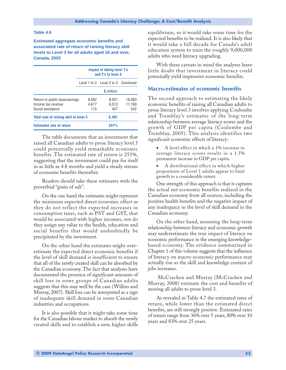#### <span id="page-54-0"></span>**Table 4.6**

**Estimated aggregate economic benefits and associated rate of return of raising literacy skill levels to Level 3 for all adults aged 16 and over, Canada, 2003**

|                                                                           | <b>Impact of taking level 1's</b><br>and 2's to level 3 |                                    |                         |  |  |  |
|---------------------------------------------------------------------------|---------------------------------------------------------|------------------------------------|-------------------------|--|--|--|
|                                                                           |                                                         | Level 1 to 3 Level 2 to 3 Combined |                         |  |  |  |
|                                                                           |                                                         | \$ million                         |                         |  |  |  |
| Return in public taxes/savings<br>Income tax revenue<br>Social assistance | 8.062<br>4.677<br>115                                   | 8.021<br>6.513<br>427              | 16.083<br>11,190<br>542 |  |  |  |
| Total cost of raising skill to level 3                                    | 6.401                                                   |                                    |                         |  |  |  |
| <b>Estimated rate of return</b>                                           |                                                         | 251%                               |                         |  |  |  |

The table documents that an investment that raised all Canadian adults to prose literacy level 3 could potentially yield remarkable economic benefits. The estimated rate of return is 251%, suggesting that the investment could pay for itself in as little as 4.8 months and yield a steady stream of economic benefits thereafter.

Readers should take these estimates with the proverbial "grain of salt".

On the one hand the estimates might represent the minimum expected direct economic effect as they do not reflect the expected increases in consumption taxes, such as PST and GST, that would be associated with higher incomes, nor do they assign any value to the health, education and social benefits that would undoubtedly be precipitated by the investment.

On the other hand the estimates might overestimate the expected direct economic benefits if the level of skill demand is insufficient to ensure that all of the newly created skill can be absorbed by the Canadian economy. The fact that analyses have documented the presence of significant amounts of skill loss in some groups of Canadian adults suggests that this may well be the case (Willms and Murray, 2007). Skill loss can be interpreted as a sign of inadequate skill demand in some Canadian industries and occupations.

It is also possible that it might take some time for the Canadian labour market to absorb the newly created skills and to establish a new, higher skills equilibrium, so it would take some time for the expected benefits to be realized. It is also likely that it would take a full decade for Canada's adult education system to train the roughly 9,000,000 adults who need literacy upgrading.

With these caveats in mind the analyses leave little doubt that investment in literacy could potentially yield impressive economic benefits.

#### **Macro-estimates of economic benefits**

The second approach to estimating the likely economic benefits of raising all Canadian adults to prose literacy level 3 involves applying Coulombe and Tremblay's estimates of the long-term relationship between average literacy scores and the growth of GDP per capita (Coulombe and Tremblay, 2005). This analysis identifies two significant economic effects of literacy:

- A level effect in which a 1% increase in average literacy scores results in a 1.5% permanent increase in GDP per capita.
- A distributional effect in which higher proportions of Level 1 adults appear to limit growth to a considerable extent.

One strength of this approach is that it captures the actual net economic benefits realized in the Canadian economy from all sources, including the positive health benefits and the negative impact of any inadequacy in the level of skill demand in the Canadian economy.

On the other hand, assuming the long-term relationship between literacy and economic growth may underestimate the true impact of literacy on economic performance in the emerging knowledgebased economy. The evidence summarized in Chapter 1 of this volume suggests that the influence of literacy on macro-economic performance may actually rise as the skill and knowledge content of jobs increases.

 McCracken and Murray (McCracken and Murray, 2008) estimate the cost and benefits of moving all adults to prose level 3.

As revealed in Table 4.7 the estimated rates of return, while lower than the estimated direct benefits, are still strongly positive. Estimated rates of return range from 36% over 5 years, 80% over 10 years and 83% over 25 years.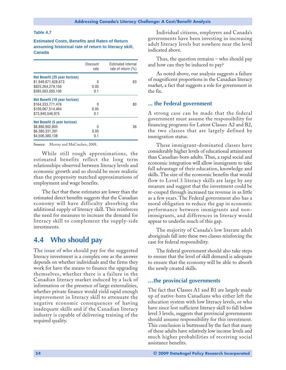#### <span id="page-55-0"></span>**Table 4.7**

**Estimated Costs, Benefits and Rates of Return assuming historical rate of return to literacy skill, Canada**

|                                                                                                | Discount<br>rate | <b>Estimated internal</b><br>rate of return $(\% )$ |
|------------------------------------------------------------------------------------------------|------------------|-----------------------------------------------------|
| Net Benefit (25 year horizon)<br>\$1.949.871.628.673<br>\$825.264.279.156<br>\$385.563.050.106 | U<br>0.05<br>0.1 | 83                                                  |
| Net Benefit (10 year horizon)<br>\$164.333.771.476<br>\$109.067.514.464<br>\$73.940.546.975    | N<br>0.05<br>0.1 | 80                                                  |
| Net Benefit (5 year horizon)<br>\$8.890.902.805<br>\$6.380.331.391<br>\$4.506.380.138          | N<br>0.05<br>0.1 | 36                                                  |

**Source:** Murray and MaCracken, 2008.

While still rough approximations, the estimated benefits reflect the long term relationships observed between literacy levels and economic growth and so should be more realistic than the propensity matched approximations of employment and wage benefits.

The fact that these estimates are lower than the estimated direct benefits suggests that the Canadian economy will have difficulty absorbing the additional supply of literacy skill. This reinforces the need for measures to increase the demand for literacy skill to complement the supply-side investments.

### **4.4 Who should pay**

The issue of who should pay for the suggested literacy investment is a complex one as the answer depends on whether individuals and the firms they work for have the means to finance the upgrading themselves, whether there is a failure in the Canadian literacy market induced by a lack of information or the presence of large externalities, whether private finance would yield rapid enough improvement in literacy skill to attenuate the negative economic consequences of having inadequate skills and if the Canadian literacy industry is capable of delivering training of the required quality.

Individual citizens, employers and Canada's governments have been investing in increasing adult literacy levels but nowhere near the level indicated above.

Thus, the question remains – who should pay and how can they be induced to pay?

As noted above, our analysis suggests a failure of magnificent proportions in the Canadian literacy market, a fact that suggests a role for government in the fix.

#### **... the Federal government**

A strong case can be made that the federal government must assume the responsibility for financing programs for Latent Classes A2 and B2, the two classes that are largely defined by immigration status.

These immigrant-dominated classes have considerably higher levels of educational attainment than Canadian-born adults. Thus, a rapid social and economic integration will allow immigrants to take full advantage of their education, knowledge and skills. The size of the economic benefits that would flow to Level 3 literacy skills are large by any measure and suggest that the investment could be re-couped through increased tax revenue in as little as a few years. The Federal government also has a moral obligation to reduce the gap in economic performance between immigrants and nonimmigrants, and differences in literacy would appear to underlie much of this gap.

The majority of Canada's low literate adult aboriginals fall into these two classes reinforcing the case for federal responsibility.

The federal government should also take steps to ensure that the level of skill demand is adequate to ensure that the economy will be able to absorb the newly created skills.

#### **…the provincial governments**

The fact that Classes A1 and B1 are largely made up of native-born Canadians who either left the education system with low literacy levels, or who have since lost sufficient literacy skill to fall below level 3 levels, suggests that provincial governments should assume responsibility for this investment. This conclusion is buttressed by the fact that many of these adults have relatively low income levels and much higher probabilities of receiving social assistance benefits.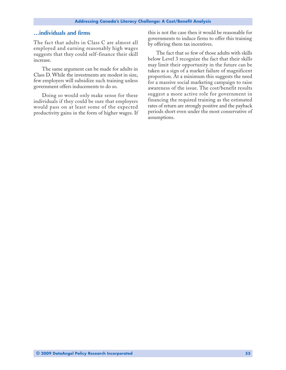### **…individuals and firms**

The fact that adults in Class C are almost all employed and earning reasonably high wages suggests that they could self-finance their skill increase.

The same argument can be made for adults in Class D. While the investments are modest in size, few employers will subsidize such training unless government offers inducements to do so.

Doing so would only make sense for these individuals if they could be sure that employers would pass on at least some of the expected productivity gains in the form of higher wages. If this is not the case then it would be reasonable for governments to induce firms to offer this training by offering them tax incentives.

The fact that so few of those adults with skills below Level 3 recognize the fact that their skills may limit their opportunity in the future can be taken as a sign of a market failure of magnificent proportion. At a minimum this suggests the need for a massive social marketing campaign to raise awareness of the issue. The cost/benefit results suggest a more active role for government in financing the required training as the estimated rates of return are strongly positive and the payback periods short even under the most conservative of assumptions.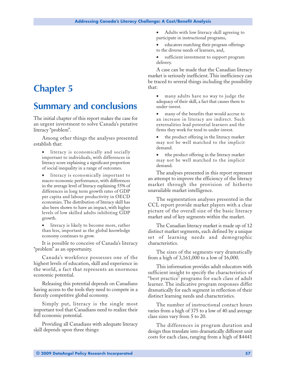# <span id="page-58-0"></span>**Chapter 5**

# **Summary and conclusions**

The initial chapter of this report makes the case for an urgent investment to solve Canada's putative literacy "problem".

Among other things the analyses presented establish that:

- literacy is economically and socially important to individuals, with differences in literacy score explaining a significant proportion of social inequality in a range of outcomes.
- literacy is economically important to macro-economic performance, with differences in the average level of literacy explaining 55% of differences in long term growth rates of GDP per capita and labour productivity in OECD economies. The distribution of literacy skill has also been shown to have an impact, with higher levels of low skilled adults inhibiting GDP growth.
- literacy is likely to become more, rather than less, important as the global knowledge economy continues to grow.

It is possible to conceive of Canada's literacy "problem" as an opportunity.

Canada's workforce possesses one of the highest levels of education, skill and experience in the world, a fact that represents an enormous economic potential.

Releasing this potential depends on Canadians having access to the tools they need to compete in a fiercely competitive global economy.

Simply put, literacy is the single most important tool that Canadians need to realize their full economic potential.

Providing all Canadians with adequate literacy skill depends upon three things:

- Adults with low literacy skill agreeing to participate in instructional programs,
- educators matching their program offerings to the diverse needs of learners, and,
- sufficient investment to support program delivery.

A case can be made that the Canadian literacy market is seriously inefficient. This inefficiency can be traced to several things including the possibility that:

- many adults have no way to judge the adequacy of their skill, a fact that causes them to under-invest.
- many of the benefits that would accrue to an increase in literacy are indirect. Such externalities lead potential learners and the firms they work for tend to under-invest.
- the product offering in the literacy market may not be well matched to the implicit demand.
- tthe product offering in the literacy market may not be well matched to the implicit demand.

The analyses presented in this report represent an attempt to improve the efficiency of the literacy market through the provision of hitherto unavailable market intelligence.

The segmentation analyses presented in the CCL report provide market players with a clear picture of the overall size of the basic literacy market and of key segments within the market.

The Canadian literacy market is made up of 12 distinct market segments, each defined by a unique set of learning needs and demographic characteristics.

The sizes of the segments vary dramatically from a high of 3,161,000 to a low of 16,000.

This information provides adult educators with sufficient insight to specify the characteristics of "best practice' programs for each class of adult learner. The indicative program responses differ dramatically for each segment in reflection of their distinct learning needs and characteristics.

The number of instructional contact hours varies from a high of 375 to a low of 40 and average class sizes vary from 5 to 20.

The differences in program duration and design thus translate into dramatically different unit costs for each class, ranging from a high of \$4441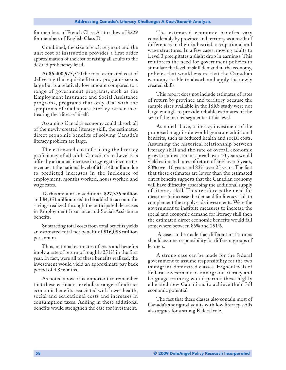for members of French Class A1 to a low of \$229 for members of English Class D.

Combined, the size of each segment and the unit cost of instruction provides a first order approximation of the cost of raising all adults to the desired proficiency level.

At **\$6,400,975,510** the total estimated cost of delivering the requisite literacy programs seems large but is a relatively low amount compared to a range of government programs, such as the Employment Insurance and Social Assistance programs, programs that only deal with the symptoms of inadequate literacy rather than treating the "disease" itself.

Assuming Canada's economy could absorb all of the newly created literacy skill, the estimated direct economic benefits of solving Canada's literacy problem are large.

The estimated cost of raising the literacy proficiency of all adult Canadians to Level 3 is offset by an annual increase in aggregate income tax revenue at the national level of **\$11,140 million** due to predicted increases in the incidence of employment, months worked, hours worked and wage rates.

To this amount an additional **\$27,376 million** and **\$4,351 million** need to be added to account for savings realized through the anticipated decreases in Employment Insurance and Social Assistance benefits.

Subtracting total costs from total benefits yields an estimated total net benefit of **\$16,083 million** per annum.

Thus, national estimates of costs and benefits imply a rate of return of roughly 251% in the first year. In fact, were all of these benefits realized, the investment would yield an approximate pay back period of 4.8 months.

As noted above it is important to remember that these estimates **exclude** a range of indirect economic benefits associated with lower health, social and educational costs and increases in consumption taxes. Adding in these additional benefits would strengthen the case for investment.

The estimated economic benefits vary considerably by province and territory as a result of differences in their industrial, occupational and wage structures. In a few cases, moving adults to Level 3 precipitates a slight drop in earnings. This reinforces the need for government policies to stimulate the level of skill demand in the economy, policies that would ensure that the Canadian economy is able to absorb and apply the newly created skills.

This report does not include estimates of rates of return by province and territory because the sample sizes available in the ISRS study were not large enough to provide reliable estimates of the size of the market segments at this level.

As noted above, a literacy investment of the proposed magnitude would generate additional benefits, such as reduced health and social costs. Assuming the historical relationship between literacy skill and the rate of overall economic growth an investment spread over 10 years would yield estimated rates of return of 36% over 5 years, 80% over 10 years and 83% over 25 years. The fact that these estimates are lower than the estimated direct benefits suggests that the Canadian economy will have difficulty absorbing the additional supply of literacy skill. This reinforces the need for measures to increase the demand for literacy skill to complement the supply-side investments. Were the government to institute measures to increase the social and economic demand for literacy skill then the estimated direct economic benefits would fall somewhere between 86% and 251%.

 A case can be made that different institutions should assume responsibility for different groups of learners.

A strong case can be made for the federal government to assume responsibility for the two immigrant-dominated classes. Higher levels of Federal investment in immigrant literacy and language training would permit these highly educated new Canadians to achieve their full economic potential.

The fact that these classes also contain most of Canada's aboriginal adults with low literacy skills also argues for a strong Federal role.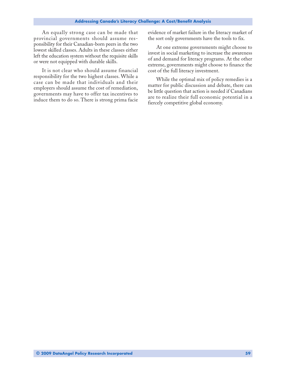An equally strong case can be made that provincial governments should assume responsibility for their Canadian-born peers in the two lowest skilled classes. Adults in these classes either left the education system without the requisite skills or were not equipped with durable skills.

It is not clear who should assume financial responsibility for the two highest classes. While a case can be made that individuals and their employers should assume the cost of remediation, governments may have to offer tax incentives to induce them to do so. There is strong prima facie evidence of market failure in the literacy market of the sort only governments have the tools to fix.

At one extreme governments might choose to invest in social marketing to increase the awareness of and demand for literacy programs. At the other extreme, governments might choose to finance the cost of the full literacy investment.

While the optimal mix of policy remedies is a matter for public discussion and debate, there can be little question that action is needed if Canadians are to realize their full economic potential in a fiercely competitive global economy.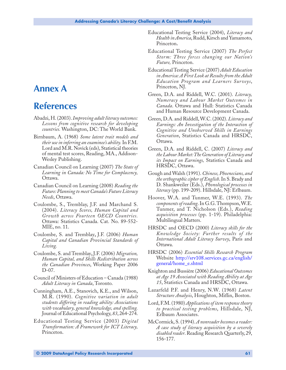# <span id="page-62-0"></span>**Annex A**

# **References**

- Abadzi, H. (2003). *Improving adult literacy outcomes: Lessons from cognitive research for developing countries.* Washington, DC: The World Bank.
- Birnbaum, A. (1968) *Some latent trait models and their use in inferring an examinee's ability.* In F.M. Lord and M.R. Novick (eds), Statistical theories of mental test scores, Reading, MA., Addison-Wesley Publishing.
- Canadian Council on Learning (2007) *The State of Learning in Canada: No Time for Complacency,* Ottawa.
- Canadian Council on Learning (2008) *Reading the Future: Planning to meet Canada's Future Literacy Needs*, Ottawa.
- Coulombe, S., Tremblay, J.F. and Marchand S. (2004). *Literacy Scores, Human Capital and Growth across Fourteen OECD Countries.* Ottawa: Statistics Canada. Cat. No. 89-552- MIE, no. 11.
- Coulombe, S. and Tremblay**,** J.F. (2006) *Human Capital and Canadian Provincial Standards of Living.*
- Coulombe, S. and Tremblay**,** J.F. (2006) *Migration, Human Capital, and Skills Redistribution across the Canadian Provinces*, Working Paper 2006 D-07.
- Council of Ministers of Education Canada (1988) *Adult Literacy in Canada*, Toronto.
- Cunningham, A.E., Stanovich, K.E., and Wilson, M.R. (1990). *Cognitive variation in adult students differing in reading ability: Associations with vocabulary, general knowledge, and spelling.* Journal of Educational Psychology, *83*, 264-274.
- Educational Testing Service (2003) *Digital Transformation: A Framework for ICT Literacy,* Princeton.
- Educational Testing Service (2004), *Literacy and Health in America*, Rudd, Kirsch and Yamamoto, Princeton**.**
- Educational Testing Service (2007) *The Perfect Storm: Three forces changing our Nation's Future,* Princeton.
- Educational Testing Service (2007) *Adult Education in America: A First Look at Results from the Adult Education Program and Learners Surveys*, Princeton, NJ.
- Green, D.A. and Riddell, W.C. (2001). *Literacy, Numeracy and Labour Market Outcomes in Canada*. Ottawa and Hull: Statistics Canada and Human Resource Development Canada.
- Green, D.A. and Riddell, W.C. (2002). *Literacy and Earnings: An Investigation of the Interaction of Cognitive and Unobserved Skills in Earnings Generation*, Statistics Canada and HRSDC, Ottawa.
- Green, D.A. and Riddell, C. (2007) *Literacy and the Labour Market: The Generation of Literacy and its Impact on Earnings,* Statistics Canada and HRSDC, Ottawa.
- Gough and Walsh (1991). *Chinese, Phoenecians, and the orthographic cipher of English*. In S. Brady and D. Shankweiler (Eds.), *Phonological processes in literacy* (pp. 199-209). Hillsdale, NJ: Erlbaum.
- Hoover, W.A. and Tunmer, W.E. (1993). *The components of reading*. In G.G. Thompson, W.E. Tunmer, and T. Nicholson (Eds.), *Reading acquisition processes* (pp. 1-19). Philadelphia: Multilingual Matters.
- HRSDC and OECD (2000) *Literacy skills for the Knowledge Society: Further results of the International Adult Literacy Survey*, Paris and Ottawa.
- HRSDC (2006) *Essential Skills Research Program* Website http://srv108.services.gc.ca/english/ general/home\_e.shtml
- Knighton and Bussière (2006) *Educational Outcomes at Age 19 Associated with Reading Ability at Age 15*, Statistics Canada and HRSDC, Ottawa.
- Lazarfeld P.F. and Henry, N.W. (1968) *Latent Structure Analysis*, Houghton, Miflin, Boston.
- Lord, F.M. (1980) *Applications of item response theory to practical testing problems*, Hillsdale, NJ, Erlbaum Associates.
- McCormick, S. (1994). *A nonreader becomes a reader: A case study of literacy acquisition by a severely disabled reader*. Reading Research Quarterly, 29, 156-177.